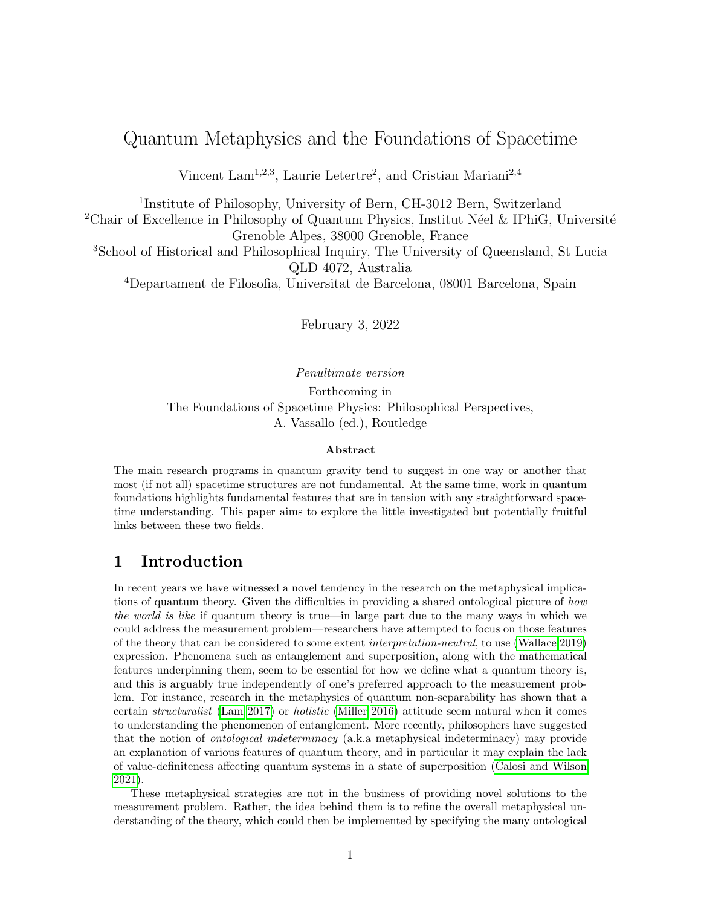# <span id="page-0-0"></span>Quantum Metaphysics and the Foundations of Spacetime

Vincent Lam<sup>1,2,3</sup>, Laurie Letertre<sup>2</sup>, and Cristian Mariani<sup>2,4</sup>

<sup>1</sup>Institute of Philosophy, University of Bern, CH-3012 Bern, Switzerland <sup>2</sup>Chair of Excellence in Philosophy of Quantum Physics, Institut Néel & IPhiG, Université Grenoble Alpes, 38000 Grenoble, France <sup>3</sup>School of Historical and Philosophical Inquiry, The University of Queensland, St Lucia QLD 4072, Australia <sup>4</sup>Departament de Filosofia, Universitat de Barcelona, 08001 Barcelona, Spain

February 3, 2022

Penultimate version

Forthcoming in The Foundations of Spacetime Physics: Philosophical Perspectives, A. Vassallo (ed.), Routledge

#### Abstract

The main research programs in quantum gravity tend to suggest in one way or another that most (if not all) spacetime structures are not fundamental. At the same time, work in quantum foundations highlights fundamental features that are in tension with any straightforward spacetime understanding. This paper aims to explore the little investigated but potentially fruitful links between these two fields.

### 1 Introduction

In recent years we have witnessed a novel tendency in the research on the metaphysical implications of quantum theory. Given the difficulties in providing a shared ontological picture of how the world is like if quantum theory is true—in large part due to the many ways in which we could address the measurement problem—researchers have attempted to focus on those features of the theory that can be considered to some extent interpretation-neutral, to use [\(Wallace 2019\)](#page-17-0) expression. Phenomena such as entanglement and superposition, along with the mathematical features underpinning them, seem to be essential for how we define what a quantum theory is, and this is arguably true independently of one's preferred approach to the measurement problem. For instance, research in the metaphysics of quantum non-separability has shown that a certain structuralist [\(Lam 2017\)](#page-16-0) or holistic [\(Miller 2016\)](#page-16-1) attitude seem natural when it comes to understanding the phenomenon of entanglement. More recently, philosophers have suggested that the notion of ontological indeterminacy (a.k.a metaphysical indeterminacy) may provide an explanation of various features of quantum theory, and in particular it may explain the lack of value-definiteness affecting quantum systems in a state of superposition [\(Calosi and Wilson](#page-15-0) [2021\)](#page-15-0).

These metaphysical strategies are not in the business of providing novel solutions to the measurement problem. Rather, the idea behind them is to refine the overall metaphysical understanding of the theory, which could then be implemented by specifying the many ontological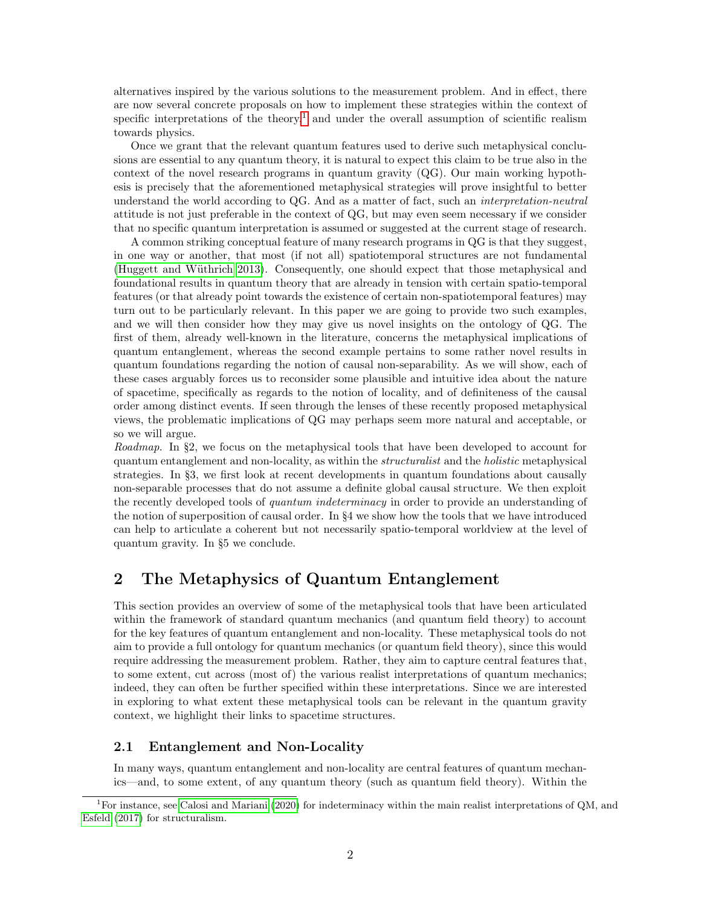alternatives inspired by the various solutions to the measurement problem. And in effect, there are now several concrete proposals on how to implement these strategies within the context of specific interpretations of the theory,<sup>[1](#page-0-0)</sup> and under the overall assumption of scientific realism towards physics.

Once we grant that the relevant quantum features used to derive such metaphysical conclusions are essential to any quantum theory, it is natural to expect this claim to be true also in the context of the novel research programs in quantum gravity (QG). Our main working hypothesis is precisely that the aforementioned metaphysical strategies will prove insightful to better understand the world according to QG. And as a matter of fact, such an *interpretation-neutral* attitude is not just preferable in the context of QG, but may even seem necessary if we consider that no specific quantum interpretation is assumed or suggested at the current stage of research.

A common striking conceptual feature of many research programs in QG is that they suggest, in one way or another, that most (if not all) spatiotemporal structures are not fundamental (Huggett and Wüthrich 2013). Consequently, one should expect that those metaphysical and foundational results in quantum theory that are already in tension with certain spatio-temporal features (or that already point towards the existence of certain non-spatiotemporal features) may turn out to be particularly relevant. In this paper we are going to provide two such examples, and we will then consider how they may give us novel insights on the ontology of QG. The first of them, already well-known in the literature, concerns the metaphysical implications of quantum entanglement, whereas the second example pertains to some rather novel results in quantum foundations regarding the notion of causal non-separability. As we will show, each of these cases arguably forces us to reconsider some plausible and intuitive idea about the nature of spacetime, specifically as regards to the notion of locality, and of definiteness of the causal order among distinct events. If seen through the lenses of these recently proposed metaphysical views, the problematic implications of QG may perhaps seem more natural and acceptable, or so we will argue.

Roadmap. In §2, we focus on the metaphysical tools that have been developed to account for quantum entanglement and non-locality, as within the structuralist and the holistic metaphysical strategies. In §3, we first look at recent developments in quantum foundations about causally non-separable processes that do not assume a definite global causal structure. We then exploit the recently developed tools of *quantum indeterminacy* in order to provide an understanding of the notion of superposition of causal order. In §4 we show how the tools that we have introduced can help to articulate a coherent but not necessarily spatio-temporal worldview at the level of quantum gravity. In §5 we conclude.

## <span id="page-1-0"></span>2 The Metaphysics of Quantum Entanglement

This section provides an overview of some of the metaphysical tools that have been articulated within the framework of standard quantum mechanics (and quantum field theory) to account for the key features of quantum entanglement and non-locality. These metaphysical tools do not aim to provide a full ontology for quantum mechanics (or quantum field theory), since this would require addressing the measurement problem. Rather, they aim to capture central features that, to some extent, cut across (most of) the various realist interpretations of quantum mechanics; indeed, they can often be further specified within these interpretations. Since we are interested in exploring to what extent these metaphysical tools can be relevant in the quantum gravity context, we highlight their links to spacetime structures.

#### 2.1 Entanglement and Non-Locality

In many ways, quantum entanglement and non-locality are central features of quantum mechanics––and, to some extent, of any quantum theory (such as quantum field theory). Within the

<sup>1</sup>For instance, see [Calosi and Mariani](#page-14-0) [\(2020\)](#page-14-0) for indeterminacy within the main realist interpretations of QM, and [Esfeld](#page-15-1) [\(2017\)](#page-15-1) for structuralism.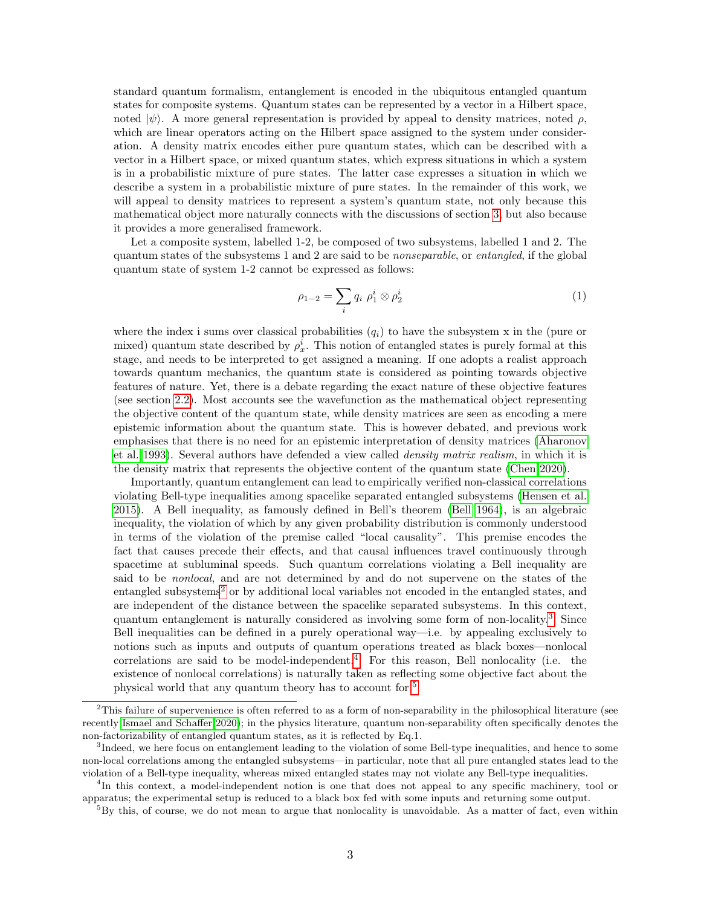standard quantum formalism, entanglement is encoded in the ubiquitous entangled quantum states for composite systems. Quantum states can be represented by a vector in a Hilbert space, noted  $|\psi\rangle$ . A more general representation is provided by appeal to density matrices, noted  $\rho$ , which are linear operators acting on the Hilbert space assigned to the system under consideration. A density matrix encodes either pure quantum states, which can be described with a vector in a Hilbert space, or mixed quantum states, which express situations in which a system is in a probabilistic mixture of pure states. The latter case expresses a situation in which we describe a system in a probabilistic mixture of pure states. In the remainder of this work, we will appeal to density matrices to represent a system's quantum state, not only because this mathematical object more naturally connects with the discussions of section [3,](#page-4-0) but also because it provides a more generalised framework.

Let a composite system, labelled 1-2, be composed of two subsystems, labelled 1 and 2. The quantum states of the subsystems 1 and 2 are said to be nonseparable, or entangled, if the global quantum state of system 1-2 cannot be expressed as follows:

$$
\rho_{1-2} = \sum_{i} q_i \; \rho_1^i \otimes \rho_2^i \tag{1}
$$

where the index i sums over classical probabilities  $(q_i)$  to have the subsystem x in the (pure or mixed) quantum state described by  $\rho_x^i$ . This notion of entangled states is purely formal at this stage, and needs to be interpreted to get assigned a meaning. If one adopts a realist approach towards quantum mechanics, the quantum state is considered as pointing towards objective features of nature. Yet, there is a debate regarding the exact nature of these objective features (see section [2.2\)](#page-3-0). Most accounts see the wavefunction as the mathematical object representing the objective content of the quantum state, while density matrices are seen as encoding a mere epistemic information about the quantum state. This is however debated, and previous work emphasises that there is no need for an epistemic interpretation of density matrices [\(Aharonov](#page-14-1) [et al. 1993\)](#page-14-1). Several authors have defended a view called density matrix realism, in which it is the density matrix that represents the objective content of the quantum state [\(Chen 2020\)](#page-15-2).

Importantly, quantum entanglement can lead to empirically verified non-classical correlations violating Bell-type inequalities among spacelike separated entangled subsystems [\(Hensen et al.](#page-16-3) [2015\)](#page-16-3). A Bell inequality, as famously defined in Bell's theorem [\(Bell 1964\)](#page-14-2), is an algebraic inequality, the violation of which by any given probability distribution is commonly understood in terms of the violation of the premise called "local causality". This premise encodes the fact that causes precede their effects, and that causal influences travel continuously through spacetime at subluminal speeds. Such quantum correlations violating a Bell inequality are said to be nonlocal, and are not determined by and do not supervene on the states of the entangled subsystems<sup>[2](#page-0-0)</sup> or by additional local variables not encoded in the entangled states, and are independent of the distance between the spacelike separated subsystems. In this context, quantum entanglement is naturally considered as involving some form of non-locality.[3](#page-0-0) Since Bell inequalities can be defined in a purely operational way—i.e. by appealing exclusively to notions such as inputs and outputs of quantum operations treated as black boxes—nonlocal correlations are said to be model-independent.<sup>[4](#page-0-0)</sup> For this reason, Bell nonlocality (i.e. the existence of nonlocal correlations) is naturally taken as reflecting some objective fact about the physical world that any quantum theory has to account for.[5](#page-0-0)

 $2$ This failure of supervenience is often referred to as a form of non-separability in the philosophical literature (see recently [Ismael and Schaffer 2020\)](#page-16-4); in the physics literature, quantum non-separability often specifically denotes the non-factorizability of entangled quantum states, as it is reflected by Eq.1.

<sup>&</sup>lt;sup>3</sup>Indeed, we here focus on entanglement leading to the violation of some Bell-type inequalities, and hence to some non-local correlations among the entangled subsystems––in particular, note that all pure entangled states lead to the violation of a Bell-type inequality, whereas mixed entangled states may not violate any Bell-type inequalities.

<sup>&</sup>lt;sup>4</sup>In this context, a model-independent notion is one that does not appeal to any specific machinery, tool or apparatus; the experimental setup is reduced to a black box fed with some inputs and returning some output.

 ${}^{5}$ By this, of course, we do not mean to argue that nonlocality is unavoidable. As a matter of fact, even within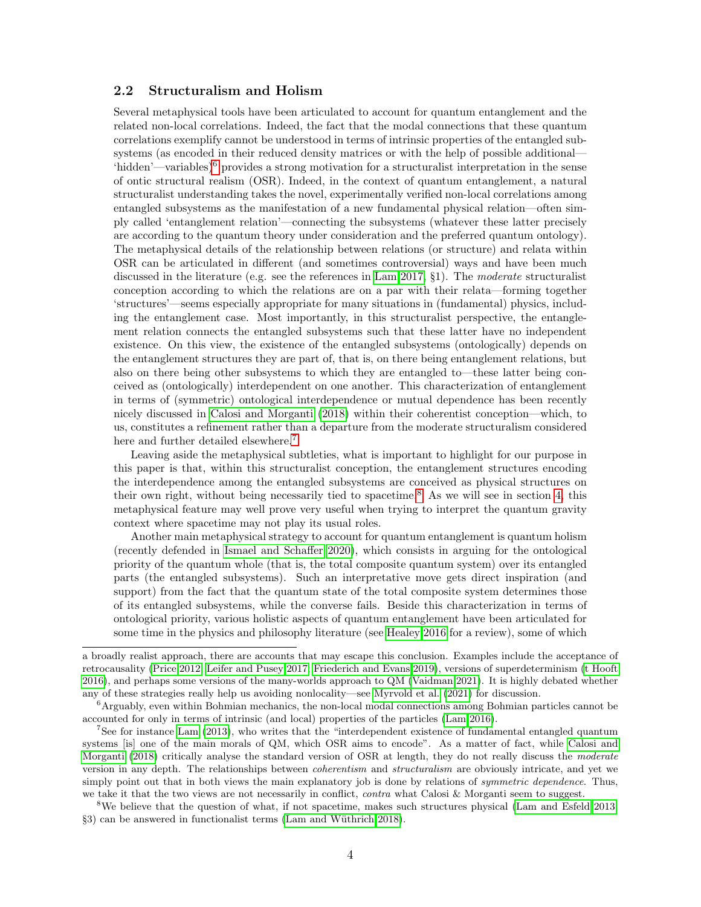#### <span id="page-3-0"></span>2.2 Structuralism and Holism

Several metaphysical tools have been articulated to account for quantum entanglement and the related non-local correlations. Indeed, the fact that the modal connections that these quantum correlations exemplify cannot be understood in terms of intrinsic properties of the entangled subsystems (as encoded in their reduced density matrices or with the help of possible additional— 'hidden'—variables)[6](#page-0-0) provides a strong motivation for a structuralist interpretation in the sense of ontic structural realism (OSR). Indeed, in the context of quantum entanglement, a natural structuralist understanding takes the novel, experimentally verified non-local correlations among entangled subsystems as the manifestation of a new fundamental physical relation—often simply called 'entanglement relation'—connecting the subsystems (whatever these latter precisely are according to the quantum theory under consideration and the preferred quantum ontology). The metaphysical details of the relationship between relations (or structure) and relata within OSR can be articulated in different (and sometimes controversial) ways and have been much discussed in the literature (e.g. see the references in [Lam 2017,](#page-16-0) §1). The moderate structuralist conception according to which the relations are on a par with their relata—forming together 'structures'—seems especially appropriate for many situations in (fundamental) physics, including the entanglement case. Most importantly, in this structuralist perspective, the entanglement relation connects the entangled subsystems such that these latter have no independent existence. On this view, the existence of the entangled subsystems (ontologically) depends on the entanglement structures they are part of, that is, on there being entanglement relations, but also on there being other subsystems to which they are entangled to—these latter being conceived as (ontologically) interdependent on one another. This characterization of entanglement in terms of (symmetric) ontological interdependence or mutual dependence has been recently nicely discussed in [Calosi and Morganti](#page-15-3) [\(2018\)](#page-15-3) within their coherentist conception—which, to us, constitutes a refinement rather than a departure from the moderate structuralism considered here and further detailed elsewhere.<sup>[7](#page-0-0)</sup>

Leaving aside the metaphysical subtleties, what is important to highlight for our purpose in this paper is that, within this structuralist conception, the entanglement structures encoding the interdependence among the entangled subsystems are conceived as physical structures on their own right, without being necessarily tied to spacetime.<sup>[8](#page-0-0)</sup> As we will see in section [4,](#page-11-0) this metaphysical feature may well prove very useful when trying to interpret the quantum gravity context where spacetime may not play its usual roles.

Another main metaphysical strategy to account for quantum entanglement is quantum holism (recently defended in [Ismael and Schaffer 2020\)](#page-16-4), which consists in arguing for the ontological priority of the quantum whole (that is, the total composite quantum system) over its entangled parts (the entangled subsystems). Such an interpretative move gets direct inspiration (and support) from the fact that the quantum state of the total composite system determines those of its entangled subsystems, while the converse fails. Beside this characterization in terms of ontological priority, various holistic aspects of quantum entanglement have been articulated for some time in the physics and philosophy literature (see [Healey 2016](#page-15-4) for a review), some of which

<sup>8</sup>We believe that the question of what, if not spacetime, makes such structures physical [\(Lam and Esfeld 2013,](#page-16-9) §3) can be answered in functionalist terms (Lam and Wüthrich 2018).

a broadly realist approach, there are accounts that may escape this conclusion. Examples include the acceptance of retrocausality [\(Price 2012;](#page-17-1) [Leifer and Pusey 2017;](#page-16-5) [Friederich and Evans 2019\)](#page-15-5), versions of superdeterminism [\(t Hooft](#page-17-2) [2016\)](#page-17-2), and perhaps some versions of the many-worlds approach to QM [\(Vaidman 2021\)](#page-17-3). It is highly debated whether any of these strategies really help us avoiding nonlocality—see [Myrvold et al.](#page-16-6) [\(2021\)](#page-16-6) for discussion.

 $6$ Arguably, even within Bohmian mechanics, the non-local modal connections among Bohmian particles cannot be accounted for only in terms of intrinsic (and local) properties of the particles [\(Lam 2016\)](#page-16-7).

<sup>7</sup>See for instance [Lam](#page-16-8) [\(2013\)](#page-16-8), who writes that the "interdependent existence of fundamental entangled quantum systems [is] one of the main morals of QM, which OSR aims to encode". As a matter of fact, while [Calosi and](#page-15-3) [Morganti](#page-15-3) [\(2018\)](#page-15-3) critically analyse the standard version of OSR at length, they do not really discuss the moderate version in any depth. The relationships between coherentism and structuralism are obviously intricate, and yet we simply point out that in both views the main explanatory job is done by relations of *symmetric dependence*. Thus, we take it that the two views are not necessarily in conflict, *contra* what Calosi & Morganti seem to suggest.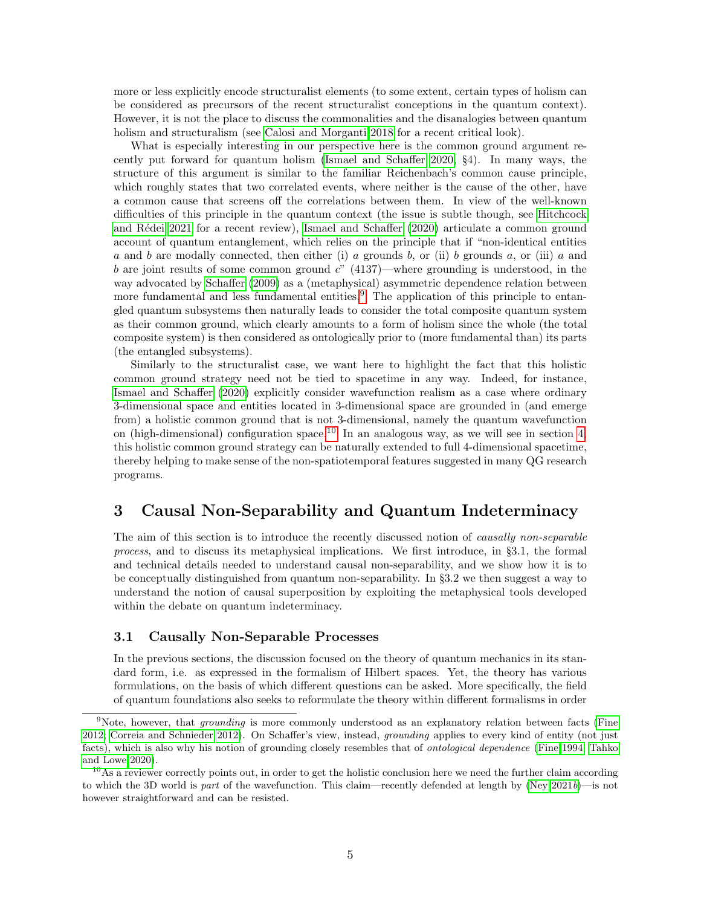more or less explicitly encode structuralist elements (to some extent, certain types of holism can be considered as precursors of the recent structuralist conceptions in the quantum context). However, it is not the place to discuss the commonalities and the disanalogies between quantum holism and structuralism (see [Calosi and Morganti 2018](#page-15-3) for a recent critical look).

What is especially interesting in our perspective here is the common ground argument recently put forward for quantum holism [\(Ismael and Schaffer 2020,](#page-16-4) §4). In many ways, the structure of this argument is similar to the familiar Reichenbach's common cause principle, which roughly states that two correlated events, where neither is the cause of the other, have a common cause that screens off the correlations between them. In view of the well-known difficulties of this principle in the quantum context (the issue is subtle though, see [Hitchcock](#page-16-11) and Rédei 2021 for a recent review), [Ismael and Schaffer](#page-16-4) [\(2020\)](#page-16-4) articulate a common ground account of quantum entanglement, which relies on the principle that if "non-identical entities a and b are modally connected, then either (i) a grounds b, or (ii) b grounds a, or (iii) a and b are joint results of some common ground  $c$ " (4137)—where grounding is understood, in the way advocated by [Schaffer](#page-17-4) [\(2009\)](#page-17-4) as a (metaphysical) asymmetric dependence relation between more fundamental and less fundamental entities.<sup>[9](#page-0-0)</sup> The application of this principle to entangled quantum subsystems then naturally leads to consider the total composite quantum system as their common ground, which clearly amounts to a form of holism since the whole (the total composite system) is then considered as ontologically prior to (more fundamental than) its parts (the entangled subsystems).

Similarly to the structuralist case, we want here to highlight the fact that this holistic common ground strategy need not be tied to spacetime in any way. Indeed, for instance, [Ismael and Schaffer](#page-16-4) [\(2020\)](#page-16-4) explicitly consider wavefunction realism as a case where ordinary 3-dimensional space and entities located in 3-dimensional space are grounded in (and emerge from) a holistic common ground that is not 3-dimensional, namely the quantum wavefunction on (high-dimensional) configuration space.<sup>[10](#page-0-0)</sup> In an analogous way, as we will see in section [4,](#page-11-0) this holistic common ground strategy can be naturally extended to full 4-dimensional spacetime, thereby helping to make sense of the non-spatiotemporal features suggested in many QG research programs.

### <span id="page-4-0"></span>3 Causal Non-Separability and Quantum Indeterminacy

The aim of this section is to introduce the recently discussed notion of causally non-separable process, and to discuss its metaphysical implications. We first introduce, in §3.1, the formal and technical details needed to understand causal non-separability, and we show how it is to be conceptually distinguished from quantum non-separability. In §3.2 we then suggest a way to understand the notion of causal superposition by exploiting the metaphysical tools developed within the debate on quantum indeterminacy.

#### <span id="page-4-1"></span>3.1 Causally Non-Separable Processes

In the previous sections, the discussion focused on the theory of quantum mechanics in its standard form, i.e. as expressed in the formalism of Hilbert spaces. Yet, the theory has various formulations, on the basis of which different questions can be asked. More specifically, the field of quantum foundations also seeks to reformulate the theory within different formalisms in order

 $9\%$ Note, however, that *grounding* is more commonly understood as an explanatory relation between facts [\(Fine](#page-15-6) [2012;](#page-15-6) [Correia and Schnieder 2012\)](#page-15-7). On Schaffer's view, instead, *grounding* applies to every kind of entity (not just facts), which is also why his notion of grounding closely resembles that of ontological dependence [\(Fine 1994;](#page-15-8) [Tahko](#page-17-5) [and Lowe 2020\)](#page-17-5).

 $10\text{As a review error of the body.}$  is order to get the holistic conclusion here we need the further claim according to which the 3D world is part of the wavefunction. This claim—recently defended at length by [\(Ney 2021](#page-17-6)b)—is not however straightforward and can be resisted.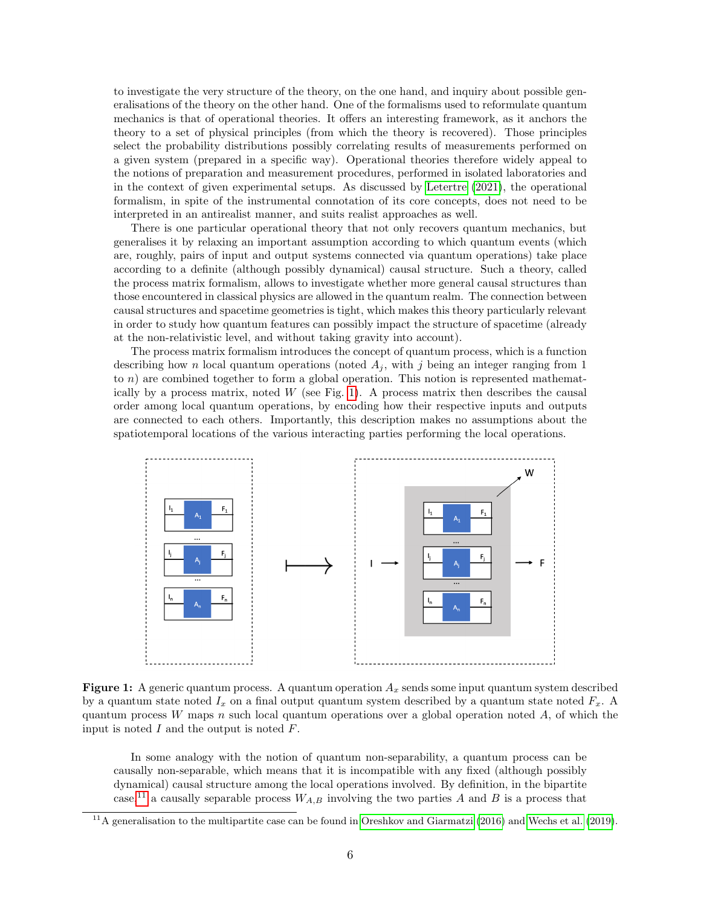to investigate the very structure of the theory, on the one hand, and inquiry about possible generalisations of the theory on the other hand. One of the formalisms used to reformulate quantum mechanics is that of operational theories. It offers an interesting framework, as it anchors the theory to a set of physical principles (from which the theory is recovered). Those principles select the probability distributions possibly correlating results of measurements performed on a given system (prepared in a specific way). Operational theories therefore widely appeal to the notions of preparation and measurement procedures, performed in isolated laboratories and in the context of given experimental setups. As discussed by [Letertre](#page-16-12) [\(2021\)](#page-16-12), the operational formalism, in spite of the instrumental connotation of its core concepts, does not need to be interpreted in an antirealist manner, and suits realist approaches as well.

There is one particular operational theory that not only recovers quantum mechanics, but generalises it by relaxing an important assumption according to which quantum events (which are, roughly, pairs of input and output systems connected via quantum operations) take place according to a definite (although possibly dynamical) causal structure. Such a theory, called the process matrix formalism, allows to investigate whether more general causal structures than those encountered in classical physics are allowed in the quantum realm. The connection between causal structures and spacetime geometries is tight, which makes this theory particularly relevant in order to study how quantum features can possibly impact the structure of spacetime (already at the non-relativistic level, and without taking gravity into account).

The process matrix formalism introduces the concept of quantum process, which is a function describing how n local quantum operations (noted  $A_i$ , with j being an integer ranging from 1 to  $n$ ) are combined together to form a global operation. This notion is represented mathematically by a process matrix, noted  $W$  (see Fig. [1\)](#page-5-0). A process matrix then describes the causal order among local quantum operations, by encoding how their respective inputs and outputs are connected to each others. Importantly, this description makes no assumptions about the spatiotemporal locations of the various interacting parties performing the local operations.

<span id="page-5-0"></span>

**Figure 1:** A generic quantum process. A quantum operation  $A_x$  sends some input quantum system described by a quantum state noted  $I_x$  on a final output quantum system described by a quantum state noted  $F_x$ . A quantum process W maps n such local quantum operations over a global operation noted  $A$ , of which the input is noted  $I$  and the output is noted  $F$ .

In some analogy with the notion of quantum non-separability, a quantum process can be causally non-separable, which means that it is incompatible with any fixed (although possibly dynamical) causal structure among the local operations involved. By definition, in the bipartite case,<sup>[11](#page-0-0)</sup> a causally separable process  $W_{A,B}$  involving the two parties A and B is a process that

 $11$ A generalisation to the multipartite case can be found in [Oreshkov and Giarmatzi](#page-17-7) [\(2016\)](#page-17-7) and [Wechs et al.](#page-17-8) [\(2019\)](#page-17-8).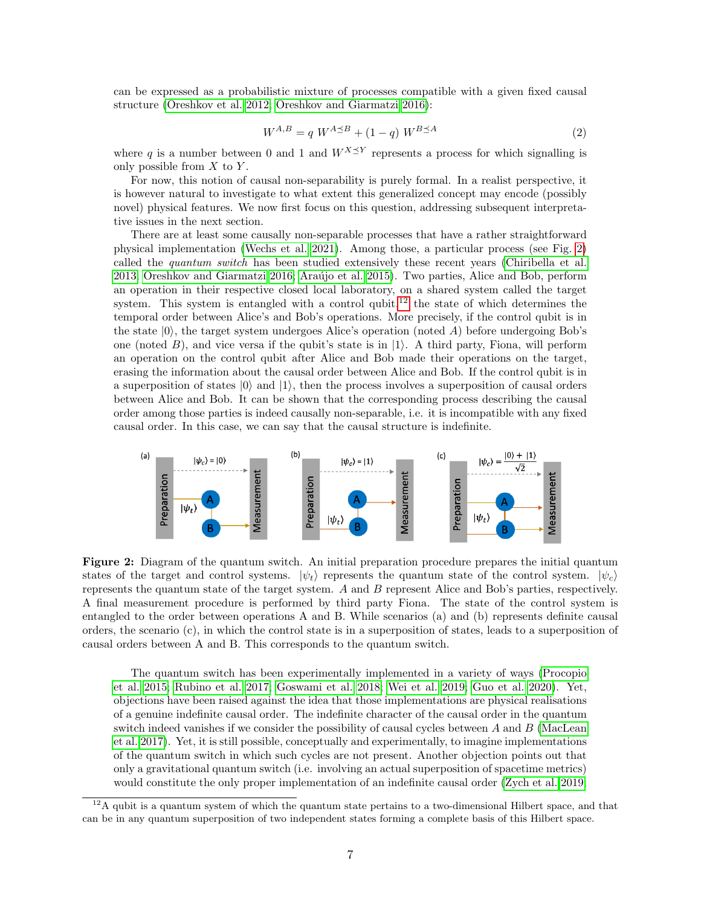can be expressed as a probabilistic mixture of processes compatible with a given fixed causal structure [\(Oreshkov et al. 2012;](#page-17-9) [Oreshkov and Giarmatzi 2016\)](#page-17-7):

$$
W^{A,B} = q W^{A \le B} + (1 - q) W^{B \le A}
$$
 (2)

where q is a number between 0 and 1 and  $W^{X\preceq Y}$  represents a process for which signalling is only possible from  $X$  to  $Y$ .

For now, this notion of causal non-separability is purely formal. In a realist perspective, it is however natural to investigate to what extent this generalized concept may encode (possibly novel) physical features. We now first focus on this question, addressing subsequent interpretative issues in the next section.

There are at least some causally non-separable processes that have a rather straightforward physical implementation [\(Wechs et al. 2021\)](#page-17-10). Among those, a particular process (see Fig. [2\)](#page-6-0) called the quantum switch has been studied extensively these recent years [\(Chiribella et al.](#page-15-9) [2013;](#page-15-9) [Oreshkov and Giarmatzi 2016;](#page-17-7) Araújo et al. 2015). Two parties, Alice and Bob, perform an operation in their respective closed local laboratory, on a shared system called the target system. This system is entangled with a control qubit, $^{12}$  $^{12}$  $^{12}$  the state of which determines the temporal order between Alice's and Bob's operations. More precisely, if the control qubit is in the state  $|0\rangle$ , the target system undergoes Alice's operation (noted A) before undergoing Bob's one (noted  $B$ ), and vice versa if the qubit's state is in  $|1\rangle$ . A third party, Fiona, will perform an operation on the control qubit after Alice and Bob made their operations on the target, erasing the information about the causal order between Alice and Bob. If the control qubit is in a superposition of states  $|0\rangle$  and  $|1\rangle$ , then the process involves a superposition of causal orders between Alice and Bob. It can be shown that the corresponding process describing the causal order among those parties is indeed causally non-separable, i.e. it is incompatible with any fixed causal order. In this case, we can say that the causal structure is indefinite.

<span id="page-6-0"></span>

Figure 2: Diagram of the quantum switch. An initial preparation procedure prepares the initial quantum states of the target and control systems.  $|\psi_t\rangle$  represents the quantum state of the control system.  $|\psi_c\rangle$ represents the quantum state of the target system. A and B represent Alice and Bob's parties, respectively. A final measurement procedure is performed by third party Fiona. The state of the control system is entangled to the order between operations A and B. While scenarios (a) and (b) represents definite causal orders, the scenario (c), in which the control state is in a superposition of states, leads to a superposition of causal orders between A and B. This corresponds to the quantum switch.

The quantum switch has been experimentally implemented in a variety of ways [\(Procopio](#page-17-11) [et al. 2015;](#page-17-11) [Rubino et al. 2017;](#page-17-12) [Goswami et al. 2018;](#page-15-10) [Wei et al. 2019;](#page-18-0) [Guo et al. 2020\)](#page-15-11). Yet, objections have been raised against the idea that those implementations are physical realisations of a genuine indefinite causal order. The indefinite character of the causal order in the quantum switch indeed vanishes if we consider the possibility of causal cycles between A and B [\(MacLean](#page-16-13) [et al. 2017\)](#page-16-13). Yet, it is still possible, conceptually and experimentally, to imagine implementations of the quantum switch in which such cycles are not present. Another objection points out that only a gravitational quantum switch (i.e. involving an actual superposition of spacetime metrics) would constitute the only proper implementation of an indefinite causal order [\(Zych et al. 2019;](#page-18-1)

 $12A$  qubit is a quantum system of which the quantum state pertains to a two-dimensional Hilbert space, and that can be in any quantum superposition of two independent states forming a complete basis of this Hilbert space.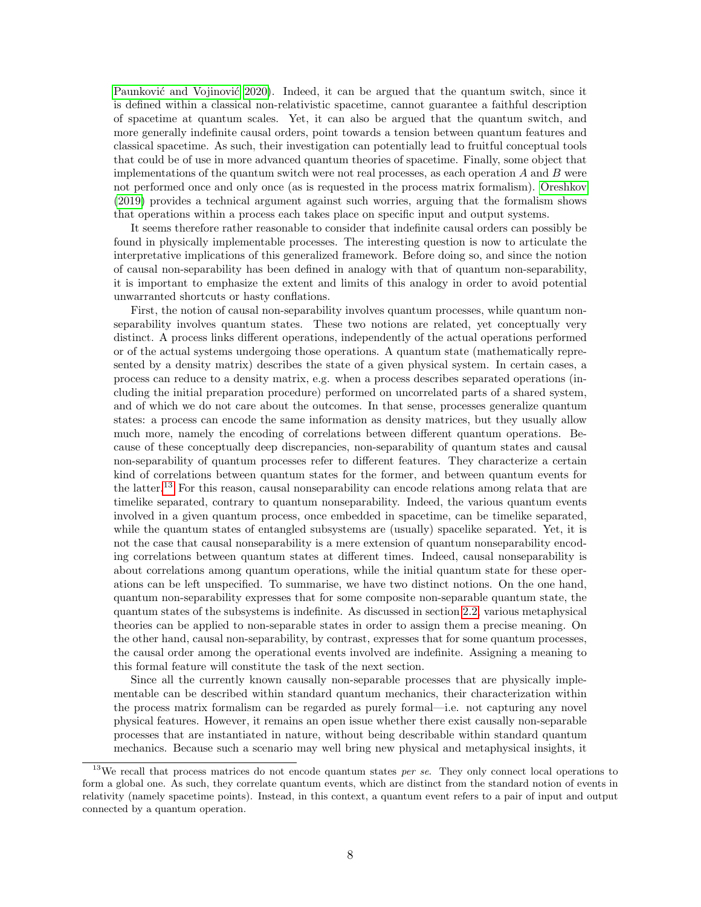Paunković and Vojinović 2020). Indeed, it can be argued that the quantum switch, since it is defined within a classical non-relativistic spacetime, cannot guarantee a faithful description of spacetime at quantum scales. Yet, it can also be argued that the quantum switch, and more generally indefinite causal orders, point towards a tension between quantum features and classical spacetime. As such, their investigation can potentially lead to fruitful conceptual tools that could be of use in more advanced quantum theories of spacetime. Finally, some object that implementations of the quantum switch were not real processes, as each operation  $A$  and  $B$  were not performed once and only once (as is requested in the process matrix formalism). [Oreshkov](#page-17-14) [\(2019\)](#page-17-14) provides a technical argument against such worries, arguing that the formalism shows that operations within a process each takes place on specific input and output systems.

It seems therefore rather reasonable to consider that indefinite causal orders can possibly be found in physically implementable processes. The interesting question is now to articulate the interpretative implications of this generalized framework. Before doing so, and since the notion of causal non-separability has been defined in analogy with that of quantum non-separability, it is important to emphasize the extent and limits of this analogy in order to avoid potential unwarranted shortcuts or hasty conflations.

First, the notion of causal non-separability involves quantum processes, while quantum nonseparability involves quantum states. These two notions are related, yet conceptually very distinct. A process links different operations, independently of the actual operations performed or of the actual systems undergoing those operations. A quantum state (mathematically represented by a density matrix) describes the state of a given physical system. In certain cases, a process can reduce to a density matrix, e.g. when a process describes separated operations (including the initial preparation procedure) performed on uncorrelated parts of a shared system, and of which we do not care about the outcomes. In that sense, processes generalize quantum states: a process can encode the same information as density matrices, but they usually allow much more, namely the encoding of correlations between different quantum operations. Because of these conceptually deep discrepancies, non-separability of quantum states and causal non-separability of quantum processes refer to different features. They characterize a certain kind of correlations between quantum states for the former, and between quantum events for the latter.[13](#page-0-0) For this reason, causal nonseparability can encode relations among relata that are timelike separated, contrary to quantum nonseparability. Indeed, the various quantum events involved in a given quantum process, once embedded in spacetime, can be timelike separated, while the quantum states of entangled subsystems are (usually) spacelike separated. Yet, it is not the case that causal nonseparability is a mere extension of quantum nonseparability encoding correlations between quantum states at different times. Indeed, causal nonseparability is about correlations among quantum operations, while the initial quantum state for these operations can be left unspecified. To summarise, we have two distinct notions. On the one hand, quantum non-separability expresses that for some composite non-separable quantum state, the quantum states of the subsystems is indefinite. As discussed in section [2.2,](#page-3-0) various metaphysical theories can be applied to non-separable states in order to assign them a precise meaning. On the other hand, causal non-separability, by contrast, expresses that for some quantum processes, the causal order among the operational events involved are indefinite. Assigning a meaning to this formal feature will constitute the task of the next section.

Since all the currently known causally non-separable processes that are physically implementable can be described within standard quantum mechanics, their characterization within the process matrix formalism can be regarded as purely formal—i.e. not capturing any novel physical features. However, it remains an open issue whether there exist causally non-separable processes that are instantiated in nature, without being describable within standard quantum mechanics. Because such a scenario may well bring new physical and metaphysical insights, it

 $13$ We recall that process matrices do not encode quantum states *per se*. They only connect local operations to form a global one. As such, they correlate quantum events, which are distinct from the standard notion of events in relativity (namely spacetime points). Instead, in this context, a quantum event refers to a pair of input and output connected by a quantum operation.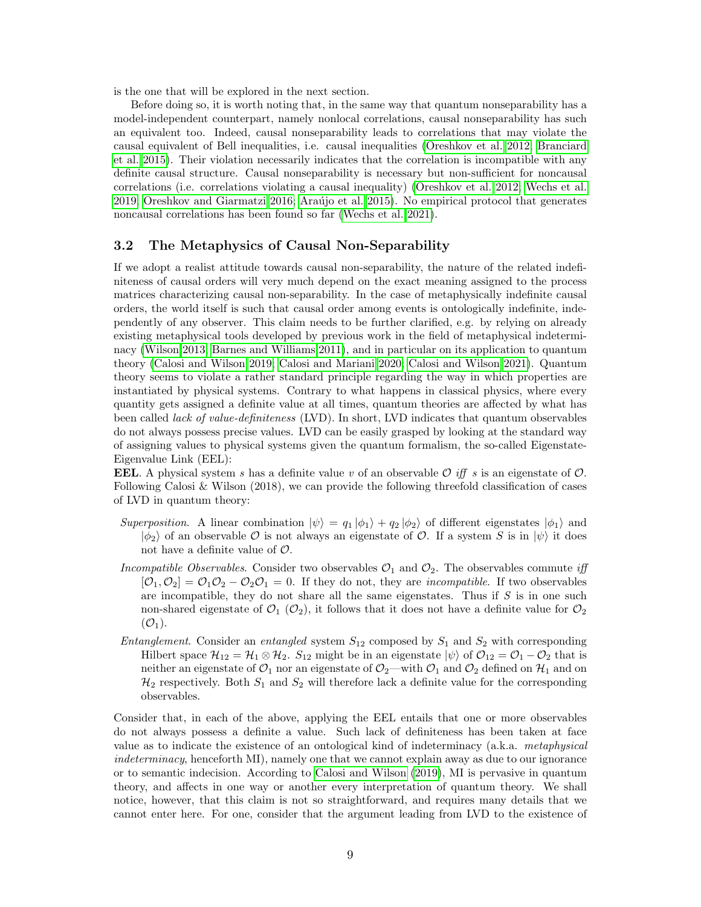is the one that will be explored in the next section.

Before doing so, it is worth noting that, in the same way that quantum nonseparability has a model-independent counterpart, namely nonlocal correlations, causal nonseparability has such an equivalent too. Indeed, causal nonseparability leads to correlations that may violate the causal equivalent of Bell inequalities, i.e. causal inequalities [\(Oreshkov et al. 2012;](#page-17-9) [Branciard](#page-14-4) [et al. 2015\)](#page-14-4). Their violation necessarily indicates that the correlation is incompatible with any definite causal structure. Causal nonseparability is necessary but non-sufficient for noncausal correlations (i.e. correlations violating a causal inequality) [\(Oreshkov et al. 2012;](#page-17-9) [Wechs et al.](#page-17-8) [2019;](#page-17-8) [Oreshkov and Giarmatzi 2016;](#page-17-7) Araújo et al. 2015). No empirical protocol that generates noncausal correlations has been found so far [\(Wechs et al. 2021\)](#page-17-10).

#### 3.2 The Metaphysics of Causal Non-Separability

If we adopt a realist attitude towards causal non-separability, the nature of the related indefiniteness of causal orders will very much depend on the exact meaning assigned to the process matrices characterizing causal non-separability. In the case of metaphysically indefinite causal orders, the world itself is such that causal order among events is ontologically indefinite, independently of any observer. This claim needs to be further clarified, e.g. by relying on already existing metaphysical tools developed by previous work in the field of metaphysical indeterminacy [\(Wilson 2013;](#page-18-2) [Barnes and Williams 2011\)](#page-14-5), and in particular on its application to quantum theory [\(Calosi and Wilson 2019;](#page-15-12) [Calosi and Mariani 2020;](#page-14-0) [Calosi and Wilson 2021\)](#page-15-0). Quantum theory seems to violate a rather standard principle regarding the way in which properties are instantiated by physical systems. Contrary to what happens in classical physics, where every quantity gets assigned a definite value at all times, quantum theories are affected by what has been called *lack of value-definiteness* (LVD). In short, LVD indicates that quantum observables do not always possess precise values. LVD can be easily grasped by looking at the standard way of assigning values to physical systems given the quantum formalism, the so-called Eigenstate-Eigenvalue Link (EEL):

**EEL.** A physical system s has a definite value v of an observable  $\mathcal{O}$  iff s is an eigenstate of  $\mathcal{O}$ . Following Calosi & Wilson (2018), we can provide the following threefold classification of cases of LVD in quantum theory:

- Superposition. A linear combination  $|\psi\rangle = q_1 |\phi_1\rangle + q_2 |\phi_2\rangle$  of different eigenstates  $|\phi_1\rangle$  and  $|\phi_2\rangle$  of an observable O is not always an eigenstate of O. If a system S is in  $|\psi\rangle$  it does not have a definite value of  $\mathcal{O}$ .
- Incompatible Observables. Consider two observables  $\mathcal{O}_1$  and  $\mathcal{O}_2$ . The observables commute iff  $[O_1, O_2] = O_1O_2 - O_2O_1 = 0$ . If they do not, they are *incompatible*. If two observables are incompatible, they do not share all the same eigenstates. Thus if  $S$  is in one such non-shared eigenstate of  $\mathcal{O}_1$  ( $\mathcal{O}_2$ ), it follows that it does not have a definite value for  $\mathcal{O}_2$  $(\mathcal{O}_1).$
- *Entanglement.* Consider an *entangled* system  $S_{12}$  composed by  $S_1$  and  $S_2$  with corresponding Hilbert space  $\mathcal{H}_{12} = \mathcal{H}_1 \otimes \mathcal{H}_2$ .  $S_{12}$  might be in an eigenstate  $|\psi\rangle$  of  $\mathcal{O}_{12} = \mathcal{O}_1 - \mathcal{O}_2$  that is neither an eigenstate of  $\mathcal{O}_1$  nor an eigenstate of  $\mathcal{O}_2$ —with  $\mathcal{O}_1$  and  $\mathcal{O}_2$  defined on  $\mathcal{H}_1$  and on  $\mathcal{H}_2$  respectively. Both  $S_1$  and  $S_2$  will therefore lack a definite value for the corresponding observables.

Consider that, in each of the above, applying the EEL entails that one or more observables do not always possess a definite a value. Such lack of definiteness has been taken at face value as to indicate the existence of an ontological kind of indeterminacy (a.k.a. metaphysical indeterminacy, henceforth MI), namely one that we cannot explain away as due to our ignorance or to semantic indecision. According to [Calosi and Wilson](#page-15-12) [\(2019\)](#page-15-12), MI is pervasive in quantum theory, and affects in one way or another every interpretation of quantum theory. We shall notice, however, that this claim is not so straightforward, and requires many details that we cannot enter here. For one, consider that the argument leading from LVD to the existence of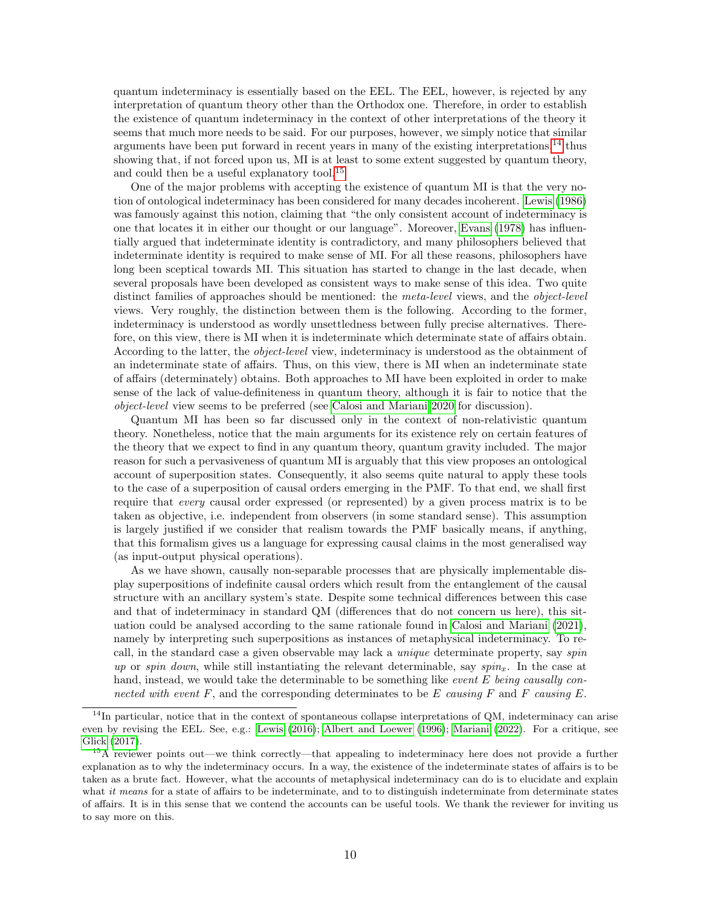quantum indeterminacy is essentially based on the EEL. The EEL, however, is rejected by any interpretation of quantum theory other than the Orthodox one. Therefore, in order to establish the existence of quantum indeterminacy in the context of other interpretations of the theory it seems that much more needs to be said. For our purposes, however, we simply notice that similar arguments have been put forward in recent years in many of the existing interpretations,  $^{14}$  $^{14}$  $^{14}$  thus showing that, if not forced upon us, MI is at least to some extent suggested by quantum theory, and could then be a useful explanatory tool.<sup>[15](#page-0-0)</sup>

One of the major problems with accepting the existence of quantum MI is that the very notion of ontological indeterminacy has been considered for many decades incoherent. [Lewis](#page-16-14) [\(1986\)](#page-16-14) was famously against this notion, claiming that "the only consistent account of indeterminacy is one that locates it in either our thought or our language". Moreover, [Evans](#page-15-13) [\(1978\)](#page-15-13) has influentially argued that indeterminate identity is contradictory, and many philosophers believed that indeterminate identity is required to make sense of MI. For all these reasons, philosophers have long been sceptical towards MI. This situation has started to change in the last decade, when several proposals have been developed as consistent ways to make sense of this idea. Two quite distinct families of approaches should be mentioned: the *meta-level* views, and the *object-level* views. Very roughly, the distinction between them is the following. According to the former, indeterminacy is understood as wordly unsettledness between fully precise alternatives. Therefore, on this view, there is MI when it is indeterminate which determinate state of affairs obtain. According to the latter, the object-level view, indeterminacy is understood as the obtainment of an indeterminate state of affairs. Thus, on this view, there is MI when an indeterminate state of affairs (determinately) obtains. Both approaches to MI have been exploited in order to make sense of the lack of value-definiteness in quantum theory, although it is fair to notice that the object-level view seems to be preferred (see [Calosi and Mariani 2020](#page-14-0) for discussion).

Quantum MI has been so far discussed only in the context of non-relativistic quantum theory. Nonetheless, notice that the main arguments for its existence rely on certain features of the theory that we expect to find in any quantum theory, quantum gravity included. The major reason for such a pervasiveness of quantum MI is arguably that this view proposes an ontological account of superposition states. Consequently, it also seems quite natural to apply these tools to the case of a superposition of causal orders emerging in the PMF. To that end, we shall first require that every causal order expressed (or represented) by a given process matrix is to be taken as objective, i.e. independent from observers (in some standard sense). This assumption is largely justified if we consider that realism towards the PMF basically means, if anything, that this formalism gives us a language for expressing causal claims in the most generalised way (as input-output physical operations).

As we have shown, causally non-separable processes that are physically implementable display superpositions of indefinite causal orders which result from the entanglement of the causal structure with an ancillary system's state. Despite some technical differences between this case and that of indeterminacy in standard QM (differences that do not concern us here), this situation could be analysed according to the same rationale found in [Calosi and Mariani](#page-15-14) [\(2021\)](#page-15-14), namely by interpreting such superpositions as instances of metaphysical indeterminacy. To recall, in the standard case a given observable may lack a *unique* determinate property, say *spin* up or spin down, while still instantiating the relevant determinable, say  $spin_x$ . In the case at hand, instead, we would take the determinable to be something like event E being causally connected with event  $F$ , and the corresponding determinates to be  $E$  causing  $F$  and  $F$  causing  $E$ .

 $14$ In particular, notice that in the context of spontaneous collapse interpretations of QM, indeterminacy can arise even by revising the EEL. See, e.g.: [Lewis](#page-16-15) [\(2016\)](#page-16-15); [Albert and Loewer](#page-14-6) [\(1996\)](#page-14-6); [Mariani](#page-16-16) [\(2022\)](#page-16-16). For a critique, see [Glick](#page-15-15) [\(2017\)](#page-15-15).

<sup>15</sup>A reviewer points out—we think correctly—that appealing to indeterminacy here does not provide a further explanation as to why the indeterminacy occurs. In a way, the existence of the indeterminate states of affairs is to be taken as a brute fact. However, what the accounts of metaphysical indeterminacy can do is to elucidate and explain what *it means* for a state of affairs to be indeterminate, and to to distinguish indeterminate from determinate states of affairs. It is in this sense that we contend the accounts can be useful tools. We thank the reviewer for inviting us to say more on this.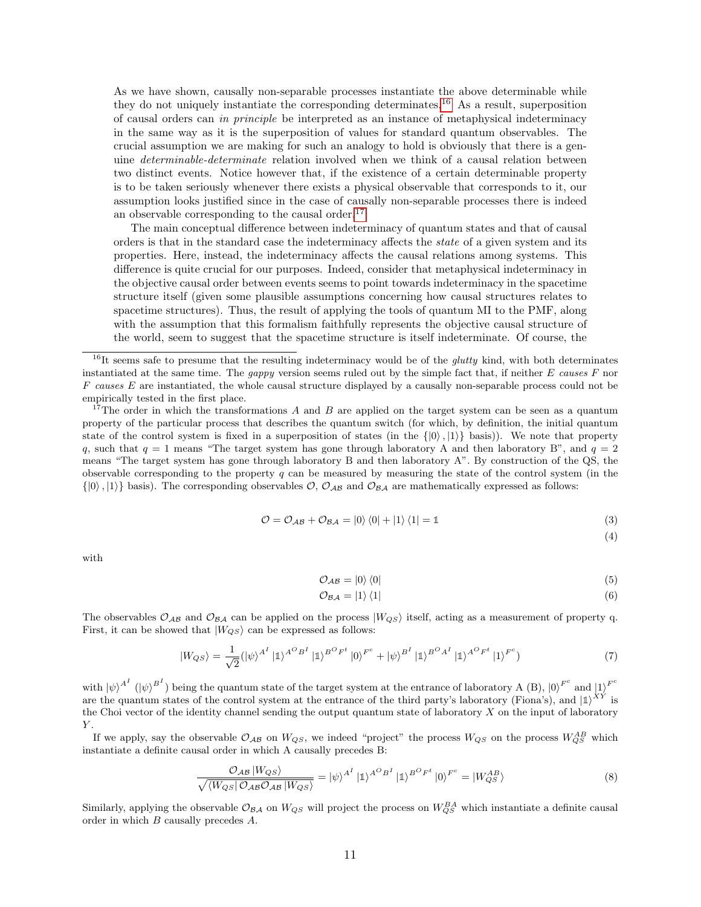As we have shown, causally non-separable processes instantiate the above determinable while they do not uniquely instantiate the corresponding determinates.[16](#page-0-0) As a result, superposition of causal orders can in principle be interpreted as an instance of metaphysical indeterminacy in the same way as it is the superposition of values for standard quantum observables. The crucial assumption we are making for such an analogy to hold is obviously that there is a genuine determinable-determinate relation involved when we think of a causal relation between two distinct events. Notice however that, if the existence of a certain determinable property is to be taken seriously whenever there exists a physical observable that corresponds to it, our assumption looks justified since in the case of causally non-separable processes there is indeed an observable corresponding to the causal order.<sup>[17](#page-0-0)</sup>

The main conceptual difference between indeterminacy of quantum states and that of causal orders is that in the standard case the indeterminacy affects the state of a given system and its properties. Here, instead, the indeterminacy affects the causal relations among systems. This difference is quite crucial for our purposes. Indeed, consider that metaphysical indeterminacy in the objective causal order between events seems to point towards indeterminacy in the spacetime structure itself (given some plausible assumptions concerning how causal structures relates to spacetime structures). Thus, the result of applying the tools of quantum MI to the PMF, along with the assumption that this formalism faithfully represents the objective causal structure of the world, seem to suggest that the spacetime structure is itself indeterminate. Of course, the

<sup>17</sup>The order in which the transformations  $A$  and  $B$  are applied on the target system can be seen as a quantum property of the particular process that describes the quantum switch (for which, by definition, the initial quantum state of the control system is fixed in a superposition of states (in the  $\{|0\rangle, |1\rangle\}$  basis)). We note that property q, such that  $q = 1$  means "The target system has gone through laboratory A and then laboratory B", and  $q = 2$ means "The target system has gone through laboratory B and then laboratory A". By construction of the QS, the observable corresponding to the property q can be measured by measuring the state of the control system (in the  $\{ |0\rangle, |1\rangle \}$  basis). The corresponding observables  $\mathcal{O}, \mathcal{O}_{AB}$  and  $\mathcal{O}_{BA}$  are mathematically expressed as follows:

$$
\mathcal{O} = \mathcal{O}_{\mathcal{AB}} + \mathcal{O}_{\mathcal{BA}} = |0\rangle\langle 0| + |1\rangle\langle 1| = \mathbb{1}
$$
\n<sup>(3)</sup>

(4)

with

$$
\mathcal{O}_{\mathcal{AB}} = |0\rangle\langle 0| \tag{5}
$$

$$
\mathcal{O}_{\mathcal{BA}} = |1\rangle\langle 1| \tag{6}
$$

The observables  $\mathcal{O}_{AB}$  and  $\mathcal{O}_{BA}$  can be applied on the process  $|W_{QS}\rangle$  itself, acting as a measurement of property q. First, it can be showed that  $|W_{QS}\rangle$  can be expressed as follows:

$$
|W_{QS}\rangle = \frac{1}{\sqrt{2}} (|\psi\rangle^{A^I} |1\rangle^{A^O B^I} |1\rangle^{B^O F^t} |0\rangle^{F^c} + |\psi\rangle^{B^I} |1\rangle^{B^O A^I} |1\rangle^{A^O F^t} |1\rangle^{F^c})
$$
\n
$$
(7)
$$

with  $|\psi\rangle^{A^{I}}(|\psi\rangle^{B^{I}})$  being the quantum state of the target system at the entrance of laboratory A (B),  $|0\rangle^{F^{c}}$  and  $|1\rangle^{F^{c}}$ are the quantum states of the control system at the entrance of the third party's laboratory (Fiona's), and  $|1\rangle^{XY}$  is the Choi vector of the identity channel sending the output quantum state of laboratory  $X$  on the input of laboratory  $\boldsymbol{Y}.$ 

If we apply, say the observable  $\mathcal{O}_{\mathcal{AB}}$  on  $W_{QS}$ , we indeed "project" the process  $W_{QS}$  on the process  $W_{QS}^{AB}$  which instantiate a definite causal order in which A causally precedes B:

$$
\frac{\mathcal{O}_{AB}|W_{QS}\rangle}{\sqrt{\langle W_{QS}| \mathcal{O}_{AB}\mathcal{O}_{AB}|W_{QS}\rangle}} = |\psi\rangle^{A^I} |\mathbb{1}\rangle^{A^O B^I} |\mathbb{1}\rangle^{B^O F^t} |0\rangle^{F^c} = |W_{QS}^{AB}\rangle
$$
\n(8)

Similarly, applying the observable  $\mathcal{O}_{BA}$  on  $W_{QS}$  will project the process on  $W_{QS}^{BA}$  which instantiate a definite causal order in which B causally precedes A.

<sup>&</sup>lt;sup>16</sup>It seems safe to presume that the resulting indeterminacy would be of the *glutty* kind, with both determinates instantiated at the same time. The *gappy* version seems ruled out by the simple fact that, if neither  $E$  causes  $F$  nor  $F$  causes  $E$  are instantiated, the whole causal structure displayed by a causally non-separable process could not be empirically tested in the first place.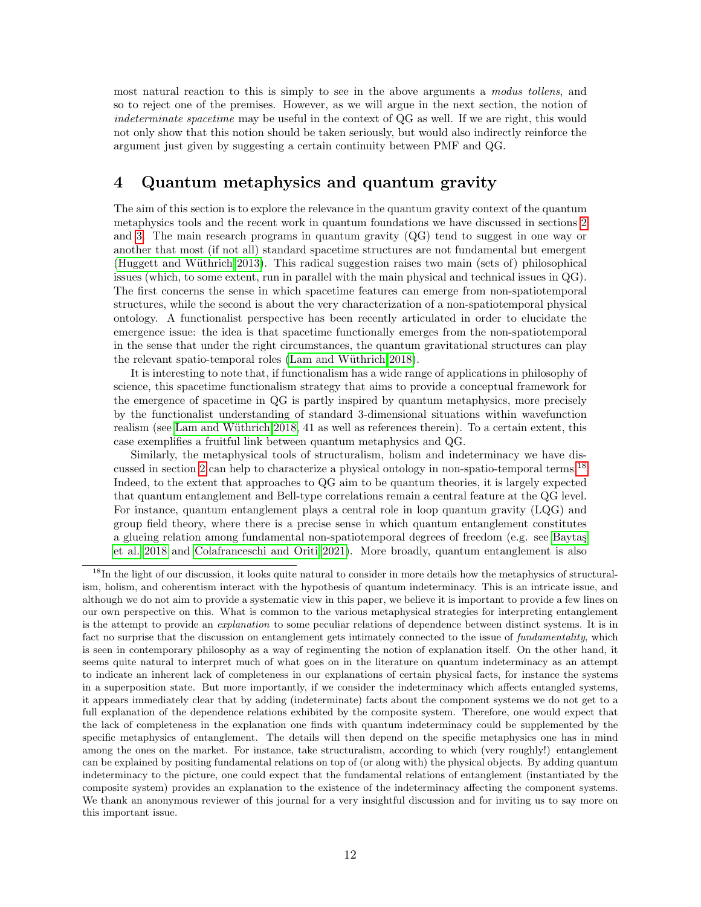most natural reaction to this is simply to see in the above arguments a modus tollens, and so to reject one of the premises. However, as we will argue in the next section, the notion of indeterminate spacetime may be useful in the context of QG as well. If we are right, this would not only show that this notion should be taken seriously, but would also indirectly reinforce the argument just given by suggesting a certain continuity between PMF and QG.

## <span id="page-11-0"></span>4 Quantum metaphysics and quantum gravity

The aim of this section is to explore the relevance in the quantum gravity context of the quantum metaphysics tools and the recent work in quantum foundations we have discussed in sections [2](#page-1-0) and [3.](#page-4-0) The main research programs in quantum gravity (QG) tend to suggest in one way or another that most (if not all) standard spacetime structures are not fundamental but emergent (Huggett and Wüthrich 2013). This radical suggestion raises two main (sets of) philosophical issues (which, to some extent, run in parallel with the main physical and technical issues in QG). The first concerns the sense in which spacetime features can emerge from non-spatiotemporal structures, while the second is about the very characterization of a non-spatiotemporal physical ontology. A functionalist perspective has been recently articulated in order to elucidate the emergence issue: the idea is that spacetime functionally emerges from the non-spatiotemporal in the sense that under the right circumstances, the quantum gravitational structures can play the relevant spatio-temporal roles (Lam and Wüthrich 2018).

It is interesting to note that, if functionalism has a wide range of applications in philosophy of science, this spacetime functionalism strategy that aims to provide a conceptual framework for the emergence of spacetime in QG is partly inspired by quantum metaphysics, more precisely by the functionalist understanding of standard 3-dimensional situations within wavefunction realism (see Lam and Wüthrich 2018, 41 as well as references therein). To a certain extent, this case exemplifies a fruitful link between quantum metaphysics and QG.

Similarly, the metaphysical tools of structuralism, holism and indeterminacy we have discussed in section [2](#page-1-0) can help to characterize a physical ontology in non-spatio-temporal terms.[18](#page-0-0) Indeed, to the extent that approaches to QG aim to be quantum theories, it is largely expected that quantum entanglement and Bell-type correlations remain a central feature at the QG level. For instance, quantum entanglement plays a central role in loop quantum gravity (LQG) and group field theory, where there is a precise sense in which quantum entanglement constitutes a glueing relation among fundamental non-spatiotemporal degrees of freedom (e.g. see Baytaş [et al. 2018](#page-14-7) and [Colafranceschi and Oriti 2021\)](#page-15-16). More broadly, quantum entanglement is also

<sup>&</sup>lt;sup>18</sup>In the light of our discussion, it looks quite natural to consider in more details how the metaphysics of structuralism, holism, and coherentism interact with the hypothesis of quantum indeterminacy. This is an intricate issue, and although we do not aim to provide a systematic view in this paper, we believe it is important to provide a few lines on our own perspective on this. What is common to the various metaphysical strategies for interpreting entanglement is the attempt to provide an explanation to some peculiar relations of dependence between distinct systems. It is in fact no surprise that the discussion on entanglement gets intimately connected to the issue of *fundamentality*, which is seen in contemporary philosophy as a way of regimenting the notion of explanation itself. On the other hand, it seems quite natural to interpret much of what goes on in the literature on quantum indeterminacy as an attempt to indicate an inherent lack of completeness in our explanations of certain physical facts, for instance the systems in a superposition state. But more importantly, if we consider the indeterminacy which affects entangled systems, it appears immediately clear that by adding (indeterminate) facts about the component systems we do not get to a full explanation of the dependence relations exhibited by the composite system. Therefore, one would expect that the lack of completeness in the explanation one finds with quantum indeterminacy could be supplemented by the specific metaphysics of entanglement. The details will then depend on the specific metaphysics one has in mind among the ones on the market. For instance, take structuralism, according to which (very roughly!) entanglement can be explained by positing fundamental relations on top of (or along with) the physical objects. By adding quantum indeterminacy to the picture, one could expect that the fundamental relations of entanglement (instantiated by the composite system) provides an explanation to the existence of the indeterminacy affecting the component systems. We thank an anonymous reviewer of this journal for a very insightful discussion and for inviting us to say more on this important issue.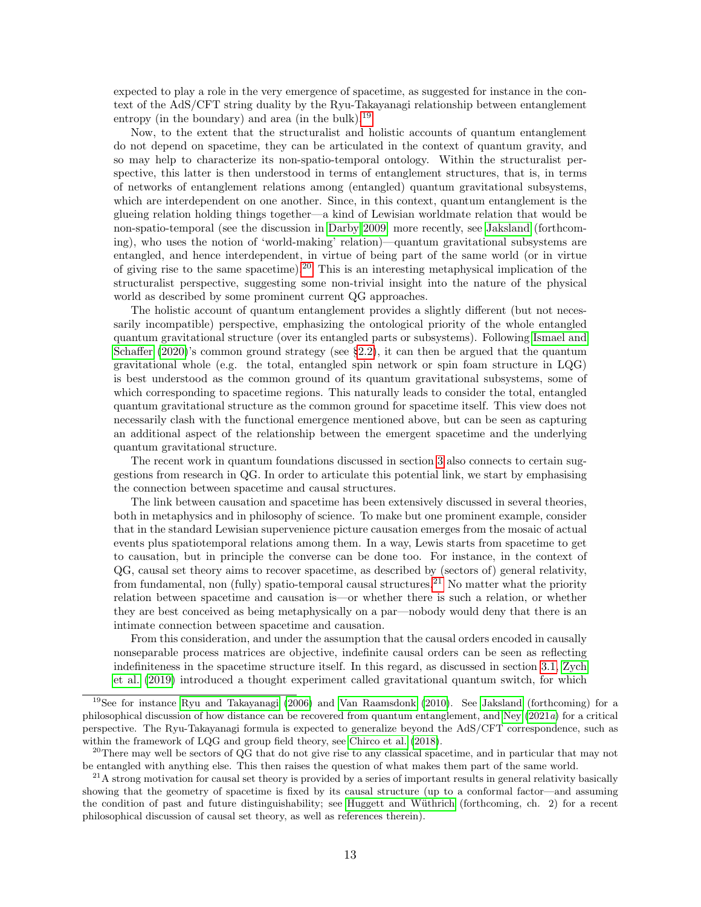expected to play a role in the very emergence of spacetime, as suggested for instance in the context of the AdS/CFT string duality by the Ryu-Takayanagi relationship between entanglement entropy (in the boundary) and area (in the bulk).<sup>[19](#page-0-0)</sup>

Now, to the extent that the structuralist and holistic accounts of quantum entanglement do not depend on spacetime, they can be articulated in the context of quantum gravity, and so may help to characterize its non-spatio-temporal ontology. Within the structuralist perspective, this latter is then understood in terms of entanglement structures, that is, in terms of networks of entanglement relations among (entangled) quantum gravitational subsystems, which are interdependent on one another. Since, in this context, quantum entanglement is the glueing relation holding things together––a kind of Lewisian worldmate relation that would be non-spatio-temporal (see the discussion in [Darby 2009;](#page-15-17) more recently, see [Jaksland](#page-16-17) (forthcoming), who uses the notion of 'world-making' relation)—quantum gravitational subsystems are entangled, and hence interdependent, in virtue of being part of the same world (or in virtue of giving rise to the same spacetime).<sup>[20](#page-0-0)</sup> This is an interesting metaphysical implication of the structuralist perspective, suggesting some non-trivial insight into the nature of the physical world as described by some prominent current QG approaches.

The holistic account of quantum entanglement provides a slightly different (but not necessarily incompatible) perspective, emphasizing the ontological priority of the whole entangled quantum gravitational structure (over its entangled parts or subsystems). Following [Ismael and](#page-16-4) [Schaffer](#page-16-4) [\(2020\)](#page-16-4)'s common ground strategy (see §[2.2\)](#page-3-0), it can then be argued that the quantum gravitational whole (e.g. the total, entangled spin network or spin foam structure in LQG) is best understood as the common ground of its quantum gravitational subsystems, some of which corresponding to spacetime regions. This naturally leads to consider the total, entangled quantum gravitational structure as the common ground for spacetime itself. This view does not necessarily clash with the functional emergence mentioned above, but can be seen as capturing an additional aspect of the relationship between the emergent spacetime and the underlying quantum gravitational structure.

The recent work in quantum foundations discussed in section [3](#page-4-0) also connects to certain suggestions from research in QG. In order to articulate this potential link, we start by emphasising the connection between spacetime and causal structures.

The link between causation and spacetime has been extensively discussed in several theories, both in metaphysics and in philosophy of science. To make but one prominent example, consider that in the standard Lewisian supervenience picture causation emerges from the mosaic of actual events plus spatiotemporal relations among them. In a way, Lewis starts from spacetime to get to causation, but in principle the converse can be done too. For instance, in the context of QG, causal set theory aims to recover spacetime, as described by (sectors of) general relativity, from fundamental, non (fully) spatio-temporal causal structures.<sup>[21](#page-0-0)</sup> No matter what the priority relation between spacetime and causation is—or whether there is such a relation, or whether they are best conceived as being metaphysically on a par—nobody would deny that there is an intimate connection between spacetime and causation.

From this consideration, and under the assumption that the causal orders encoded in causally nonseparable process matrices are objective, indefinite causal orders can be seen as reflecting indefiniteness in the spacetime structure itself. In this regard, as discussed in section [3.1,](#page-4-1) [Zych](#page-18-1) [et al.](#page-18-1) [\(2019\)](#page-18-1) introduced a thought experiment called gravitational quantum switch, for which

<sup>19</sup>See for instance [Ryu and Takayanagi](#page-17-15) [\(2006\)](#page-17-15) and [Van Raamsdonk](#page-17-16) [\(2010\)](#page-17-16). See [Jaksland](#page-16-17) (forthcoming) for a philosophical discussion of how distance can be recovered from quantum entanglement, and [Ney](#page-17-17)  $(2021a)$  $(2021a)$  for a critical perspective. The Ryu-Takayanagi formula is expected to generalize beyond the AdS/CFT correspondence, such as within the framework of LQG and group field theory, see [Chirco et al.](#page-15-18) [\(2018\)](#page-15-18).

<sup>&</sup>lt;sup>20</sup>There may well be sectors of QG that do not give rise to any classical spacetime, and in particular that may not be entangled with anything else. This then raises the question of what makes them part of the same world.

 $21A$  strong motivation for causal set theory is provided by a series of important results in general relativity basically showing that the geometry of spacetime is fixed by its causal structure (up to a conformal factor—and assuming the condition of past and future distinguishability; see Huggett and Wüthrich (forthcoming, ch. 2) for a recent philosophical discussion of causal set theory, as well as references therein).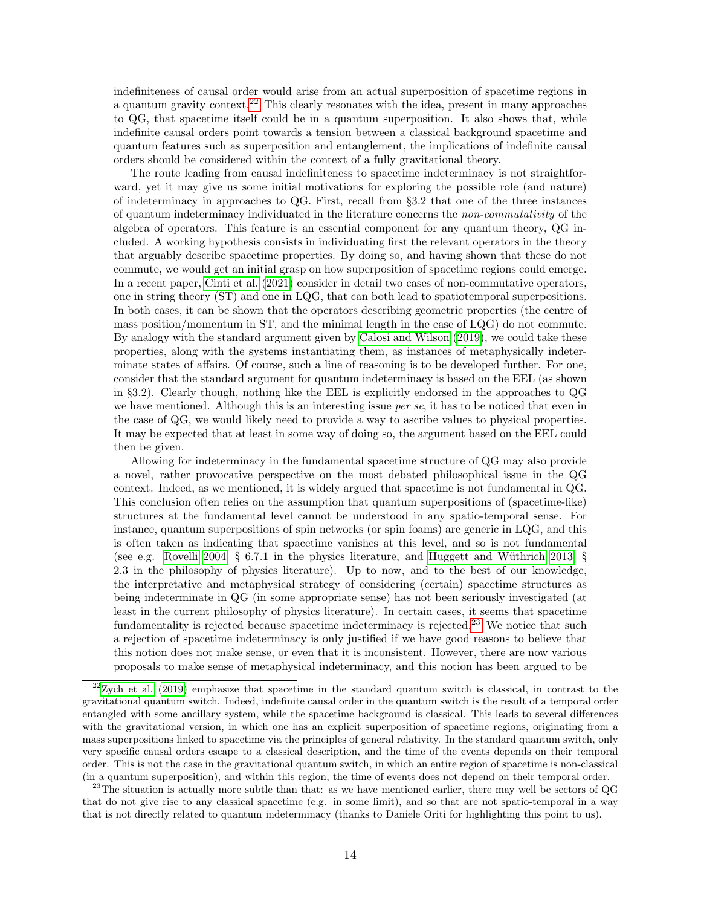indefiniteness of causal order would arise from an actual superposition of spacetime regions in a quantum gravity context.<sup>[22](#page-0-0)</sup> This clearly resonates with the idea, present in many approaches to QG, that spacetime itself could be in a quantum superposition. It also shows that, while indefinite causal orders point towards a tension between a classical background spacetime and quantum features such as superposition and entanglement, the implications of indefinite causal orders should be considered within the context of a fully gravitational theory.

The route leading from causal indefiniteness to spacetime indeterminacy is not straightforward, yet it may give us some initial motivations for exploring the possible role (and nature) of indeterminacy in approaches to QG. First, recall from §3.2 that one of the three instances of quantum indeterminacy individuated in the literature concerns the non-commutativity of the algebra of operators. This feature is an essential component for any quantum theory, QG included. A working hypothesis consists in individuating first the relevant operators in the theory that arguably describe spacetime properties. By doing so, and having shown that these do not commute, we would get an initial grasp on how superposition of spacetime regions could emerge. In a recent paper, [Cinti et al.](#page-15-19) [\(2021\)](#page-15-19) consider in detail two cases of non-commutative operators, one in string theory (ST) and one in LQG, that can both lead to spatiotemporal superpositions. In both cases, it can be shown that the operators describing geometric properties (the centre of mass position/momentum in ST, and the minimal length in the case of LQG) do not commute. By analogy with the standard argument given by [Calosi and Wilson](#page-15-12) [\(2019\)](#page-15-12), we could take these properties, along with the systems instantiating them, as instances of metaphysically indeterminate states of affairs. Of course, such a line of reasoning is to be developed further. For one, consider that the standard argument for quantum indeterminacy is based on the EEL (as shown in §3.2). Clearly though, nothing like the EEL is explicitly endorsed in the approaches to QG we have mentioned. Although this is an interesting issue per se, it has to be noticed that even in the case of QG, we would likely need to provide a way to ascribe values to physical properties. It may be expected that at least in some way of doing so, the argument based on the EEL could then be given.

Allowing for indeterminacy in the fundamental spacetime structure of QG may also provide a novel, rather provocative perspective on the most debated philosophical issue in the QG context. Indeed, as we mentioned, it is widely argued that spacetime is not fundamental in QG. This conclusion often relies on the assumption that quantum superpositions of (spacetime-like) structures at the fundamental level cannot be understood in any spatio-temporal sense. For instance, quantum superpositions of spin networks (or spin foams) are generic in LQG, and this is often taken as indicating that spacetime vanishes at this level, and so is not fundamental (see e.g. [Rovelli 2004,](#page-17-18) § 6.7.1 in the physics literature, and Huggett and Wüthrich 2013, § 2.3 in the philosophy of physics literature). Up to now, and to the best of our knowledge, the interpretative and metaphysical strategy of considering (certain) spacetime structures as being indeterminate in QG (in some appropriate sense) has not been seriously investigated (at least in the current philosophy of physics literature). In certain cases, it seems that spacetime fundamentality is rejected because spacetime indeterminacy is rejected.<sup>[23](#page-0-0)</sup> We notice that such a rejection of spacetime indeterminacy is only justified if we have good reasons to believe that this notion does not make sense, or even that it is inconsistent. However, there are now various proposals to make sense of metaphysical indeterminacy, and this notion has been argued to be

 $^{22}Zych$  et al. [\(2019\)](#page-18-1) emphasize that spacetime in the standard quantum switch is classical, in contrast to the gravitational quantum switch. Indeed, indefinite causal order in the quantum switch is the result of a temporal order entangled with some ancillary system, while the spacetime background is classical. This leads to several differences with the gravitational version, in which one has an explicit superposition of spacetime regions, originating from a mass superpositions linked to spacetime via the principles of general relativity. In the standard quantum switch, only very specific causal orders escape to a classical description, and the time of the events depends on their temporal order. This is not the case in the gravitational quantum switch, in which an entire region of spacetime is non-classical (in a quantum superposition), and within this region, the time of events does not depend on their temporal order.

<sup>&</sup>lt;sup>23</sup>The situation is actually more subtle than that: as we have mentioned earlier, there may well be sectors of  $QG$ that do not give rise to any classical spacetime (e.g. in some limit), and so that are not spatio-temporal in a way that is not directly related to quantum indeterminacy (thanks to Daniele Oriti for highlighting this point to us).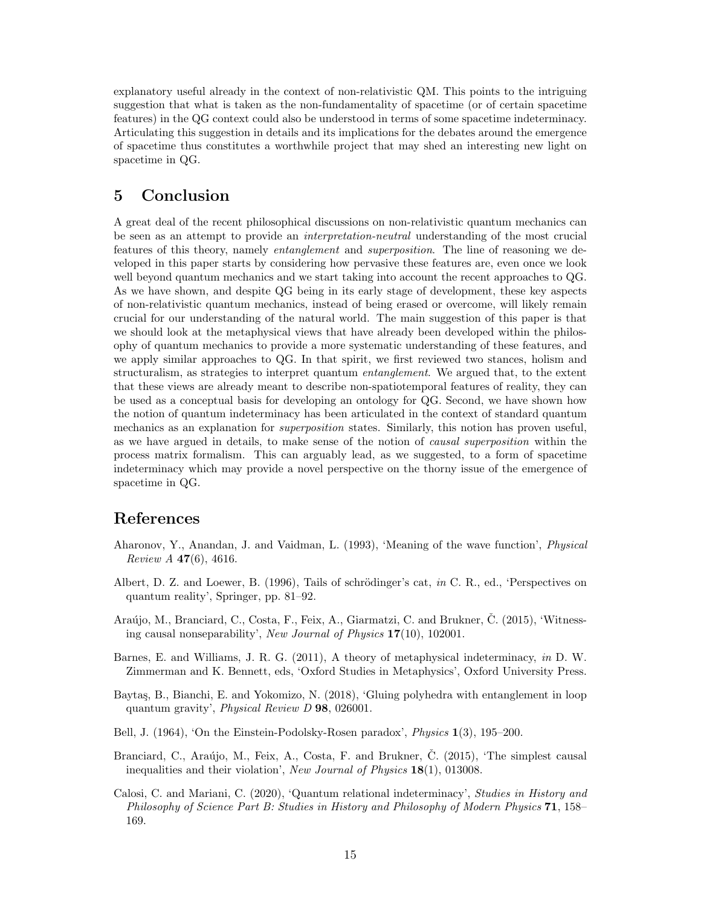explanatory useful already in the context of non-relativistic QM. This points to the intriguing suggestion that what is taken as the non-fundamentality of spacetime (or of certain spacetime features) in the QG context could also be understood in terms of some spacetime indeterminacy. Articulating this suggestion in details and its implications for the debates around the emergence of spacetime thus constitutes a worthwhile project that may shed an interesting new light on spacetime in QG.

## 5 Conclusion

A great deal of the recent philosophical discussions on non-relativistic quantum mechanics can be seen as an attempt to provide an interpretation-neutral understanding of the most crucial features of this theory, namely entanglement and superposition. The line of reasoning we developed in this paper starts by considering how pervasive these features are, even once we look well beyond quantum mechanics and we start taking into account the recent approaches to QG. As we have shown, and despite QG being in its early stage of development, these key aspects of non-relativistic quantum mechanics, instead of being erased or overcome, will likely remain crucial for our understanding of the natural world. The main suggestion of this paper is that we should look at the metaphysical views that have already been developed within the philosophy of quantum mechanics to provide a more systematic understanding of these features, and we apply similar approaches to QG. In that spirit, we first reviewed two stances, holism and structuralism, as strategies to interpret quantum entanglement. We argued that, to the extent that these views are already meant to describe non-spatiotemporal features of reality, they can be used as a conceptual basis for developing an ontology for QG. Second, we have shown how the notion of quantum indeterminacy has been articulated in the context of standard quantum mechanics as an explanation for *superposition* states. Similarly, this notion has proven useful, as we have argued in details, to make sense of the notion of causal superposition within the process matrix formalism. This can arguably lead, as we suggested, to a form of spacetime indeterminacy which may provide a novel perspective on the thorny issue of the emergence of spacetime in QG.

### References

- <span id="page-14-1"></span>Aharonov, Y., Anandan, J. and Vaidman, L. (1993), 'Meaning of the wave function', Physical Review A 47(6), 4616.
- <span id="page-14-6"></span>Albert, D. Z. and Loewer, B. (1996), Tails of schrödinger's cat, in C. R., ed., 'Perspectives on quantum reality', Springer, pp. 81–92.
- <span id="page-14-3"></span>Araújo, M., Branciard, C., Costa, F., Feix, A., Giarmatzi, C. and Brukner, Č. (2015), 'Witnessing causal nonseparability', New Journal of Physics 17(10), 102001.
- <span id="page-14-5"></span>Barnes, E. and Williams, J. R. G. (2011), A theory of metaphysical indeterminacy, in D. W. Zimmerman and K. Bennett, eds, 'Oxford Studies in Metaphysics', Oxford University Press.
- <span id="page-14-7"></span>Baytas, B., Bianchi, E. and Yokomizo, N. (2018), 'Gluing polyhedra with entanglement in loop quantum gravity', Physical Review D 98, 026001.
- <span id="page-14-2"></span>Bell, J. (1964), 'On the Einstein-Podolsky-Rosen paradox', Physics 1(3), 195–200.
- <span id="page-14-4"></span>Branciard, C., Araújo, M., Feix, A., Costa, F. and Brukner, Č.  $(2015)$ , 'The simplest causal inequalities and their violation', New Journal of Physics 18(1), 013008.
- <span id="page-14-0"></span>Calosi, C. and Mariani, C. (2020), 'Quantum relational indeterminacy', Studies in History and Philosophy of Science Part B: Studies in History and Philosophy of Modern Physics 71, 158– 169.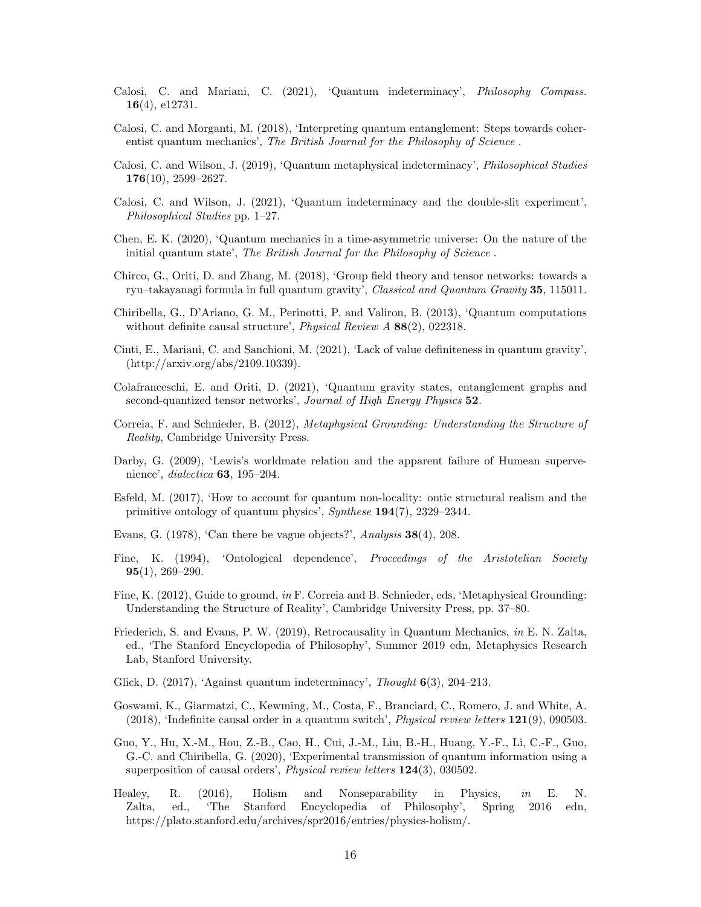- <span id="page-15-14"></span>Calosi, C. and Mariani, C. (2021), 'Quantum indeterminacy', Philosophy Compass. 16(4), e12731.
- <span id="page-15-3"></span>Calosi, C. and Morganti, M. (2018), 'Interpreting quantum entanglement: Steps towards coherentist quantum mechanics', The British Journal for the Philosophy of Science.
- <span id="page-15-12"></span>Calosi, C. and Wilson, J. (2019), 'Quantum metaphysical indeterminacy', Philosophical Studies  $176(10), 2599-2627.$
- <span id="page-15-0"></span>Calosi, C. and Wilson, J. (2021), 'Quantum indeterminacy and the double-slit experiment', Philosophical Studies pp. 1–27.
- <span id="page-15-2"></span>Chen, E. K. (2020), 'Quantum mechanics in a time-asymmetric universe: On the nature of the initial quantum state', The British Journal for the Philosophy of Science.
- <span id="page-15-18"></span>Chirco, G., Oriti, D. and Zhang, M. (2018), 'Group field theory and tensor networks: towards a ryu–takayanagi formula in full quantum gravity', Classical and Quantum Gravity 35, 115011.
- <span id="page-15-9"></span>Chiribella, G., D'Ariano, G. M., Perinotti, P. and Valiron, B. (2013), 'Quantum computations without definite causal structure', *Physical Review A* **88**(2), 022318.
- <span id="page-15-19"></span>Cinti, E., Mariani, C. and Sanchioni, M. (2021), 'Lack of value definiteness in quantum gravity', (http://arxiv.org/abs/2109.10339).
- <span id="page-15-16"></span>Colafranceschi, E. and Oriti, D. (2021), 'Quantum gravity states, entanglement graphs and second-quantized tensor networks', Journal of High Energy Physics 52.
- <span id="page-15-7"></span>Correia, F. and Schnieder, B. (2012), Metaphysical Grounding: Understanding the Structure of Reality, Cambridge University Press.
- <span id="page-15-17"></span>Darby, G. (2009), 'Lewis's worldmate relation and the apparent failure of Humean supervenience', dialectica 63, 195–204.
- <span id="page-15-1"></span>Esfeld, M. (2017), 'How to account for quantum non-locality: ontic structural realism and the primitive ontology of quantum physics', Synthese 194(7), 2329–2344.
- <span id="page-15-13"></span>Evans, G. (1978), 'Can there be vague objects?', Analysis 38(4), 208.
- <span id="page-15-8"></span>Fine, K. (1994), 'Ontological dependence', *Proceedings of the Aristotelian Society* 95(1), 269–290.
- <span id="page-15-6"></span>Fine, K. (2012), Guide to ground, in F. Correia and B. Schnieder, eds, 'Metaphysical Grounding: Understanding the Structure of Reality', Cambridge University Press, pp. 37–80.
- <span id="page-15-5"></span>Friederich, S. and Evans, P. W. (2019), Retrocausality in Quantum Mechanics, in E. N. Zalta, ed., 'The Stanford Encyclopedia of Philosophy', Summer 2019 edn, Metaphysics Research Lab, Stanford University.
- <span id="page-15-15"></span>Glick, D.  $(2017)$ , 'Against quantum indeterminacy', *Thought* 6(3), 204–213.
- <span id="page-15-10"></span>Goswami, K., Giarmatzi, C., Kewming, M., Costa, F., Branciard, C., Romero, J. and White, A.  $(2018)$ , 'Indefinite causal order in a quantum switch', *Physical review letters*  $121(9)$ , 090503.
- <span id="page-15-11"></span>Guo, Y., Hu, X.-M., Hou, Z.-B., Cao, H., Cui, J.-M., Liu, B.-H., Huang, Y.-F., Li, C.-F., Guo, G.-C. and Chiribella, G. (2020), 'Experimental transmission of quantum information using a superposition of causal orders', Physical review letters 124(3), 030502.
- <span id="page-15-4"></span>Healey, R. (2016), Holism and Nonseparability in Physics, in E. N. Zalta, ed., 'The Stanford Encyclopedia of Philosophy', Spring 2016 edn, https://plato.stanford.edu/archives/spr2016/entries/physics-holism/.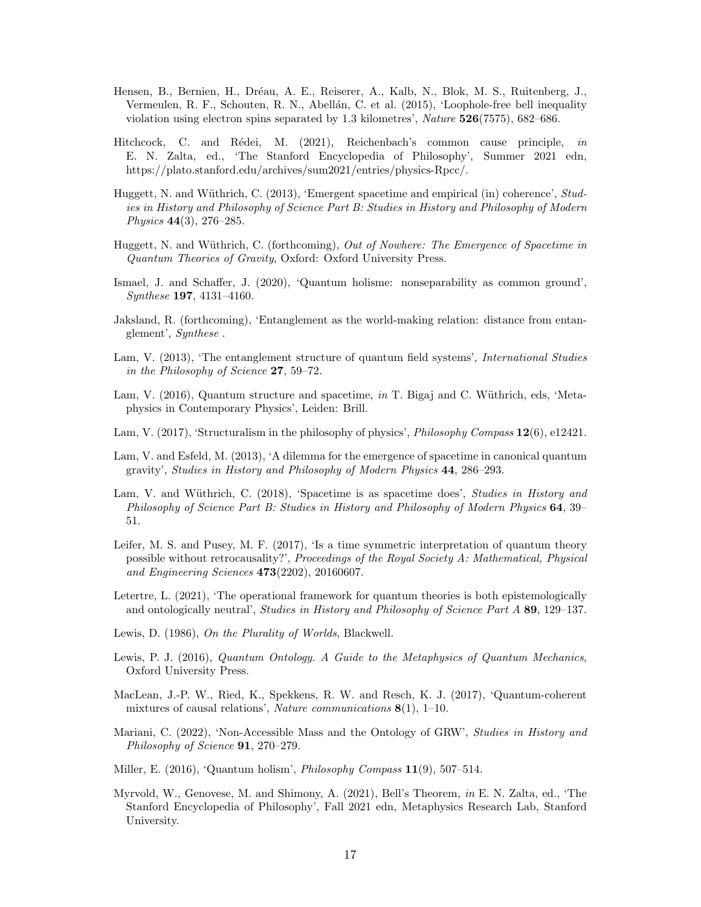- <span id="page-16-3"></span>Hensen, B., Bernien, H., Dréau, A. E., Reiserer, A., Kalb, N., Blok, M. S., Ruitenberg, J., Vermeulen, R. F., Schouten, R. N., Abellán, C. et al. (2015), 'Loophole-free bell inequality violation using electron spins separated by 1.3 kilometres',  $Nature$   $526(7575)$ ,  $682-686$ .
- <span id="page-16-11"></span>Hitchcock, C. and Rédei, M. (2021), Reichenbach's common cause principle, *in* E. N. Zalta, ed., 'The Stanford Encyclopedia of Philosophy', Summer 2021 edn, https://plato.stanford.edu/archives/sum2021/entries/physics-Rpcc/.
- <span id="page-16-2"></span>Huggett, N. and Wüthrich, C. (2013), 'Emergent spacetime and empirical (in) coherence', Studies in History and Philosophy of Science Part B: Studies in History and Philosophy of Modern Physics 44(3), 276–285.
- <span id="page-16-18"></span>Huggett, N. and Wüthrich, C. (forthcoming), Out of Nowhere: The Emergence of Spacetime in Quantum Theories of Gravity, Oxford: Oxford University Press.
- <span id="page-16-4"></span>Ismael, J. and Schaffer, J. (2020), 'Quantum holisme: nonseparability as common ground', Synthese 197, 4131–4160.
- <span id="page-16-17"></span>Jaksland, R. (forthcoming), 'Entanglement as the world-making relation: distance from entanglement', Synthese .
- <span id="page-16-8"></span>Lam, V. (2013), 'The entanglement structure of quantum field systems', International Studies in the Philosophy of Science 27, 59–72.
- <span id="page-16-7"></span>Lam, V. (2016), Quantum structure and spacetime, in T. Bigaj and C. Wüthrich, eds, 'Metaphysics in Contemporary Physics', Leiden: Brill.
- <span id="page-16-0"></span>Lam, V. (2017), 'Structuralism in the philosophy of physics', Philosophy Compass 12(6), e12421.
- <span id="page-16-9"></span>Lam, V. and Esfeld, M. (2013), 'A dilemma for the emergence of spacetime in canonical quantum gravity', Studies in History and Philosophy of Modern Physics 44, 286–293.
- <span id="page-16-10"></span>Lam, V. and Wüthrich, C. (2018), 'Spacetime is as spacetime does', Studies in History and Philosophy of Science Part B: Studies in History and Philosophy of Modern Physics 64, 39– 51.
- <span id="page-16-5"></span>Leifer, M. S. and Pusey, M. F. (2017), 'Is a time symmetric interpretation of quantum theory possible without retrocausality?', Proceedings of the Royal Society A: Mathematical, Physical and Engineering Sciences 473(2202), 20160607.
- <span id="page-16-12"></span>Letertre, L. (2021), 'The operational framework for quantum theories is both epistemologically and ontologically neutral', Studies in History and Philosophy of Science Part A 89, 129-137.
- <span id="page-16-14"></span>Lewis, D. (1986), On the Plurality of Worlds, Blackwell.
- <span id="page-16-15"></span>Lewis, P. J. (2016), Quantum Ontology. A Guide to the Metaphysics of Quantum Mechanics, Oxford University Press.
- <span id="page-16-13"></span>MacLean, J.-P. W., Ried, K., Spekkens, R. W. and Resch, K. J. (2017), 'Quantum-coherent mixtures of causal relations', *Nature communications*  $8(1)$ , 1–10.
- <span id="page-16-16"></span>Mariani, C. (2022), 'Non-Accessible Mass and the Ontology of GRW', Studies in History and Philosophy of Science 91, 270–279.
- <span id="page-16-1"></span>Miller, E. (2016), 'Quantum holism', Philosophy Compass 11(9), 507–514.
- <span id="page-16-6"></span>Myrvold, W., Genovese, M. and Shimony, A. (2021), Bell's Theorem, in E. N. Zalta, ed., 'The Stanford Encyclopedia of Philosophy', Fall 2021 edn, Metaphysics Research Lab, Stanford University.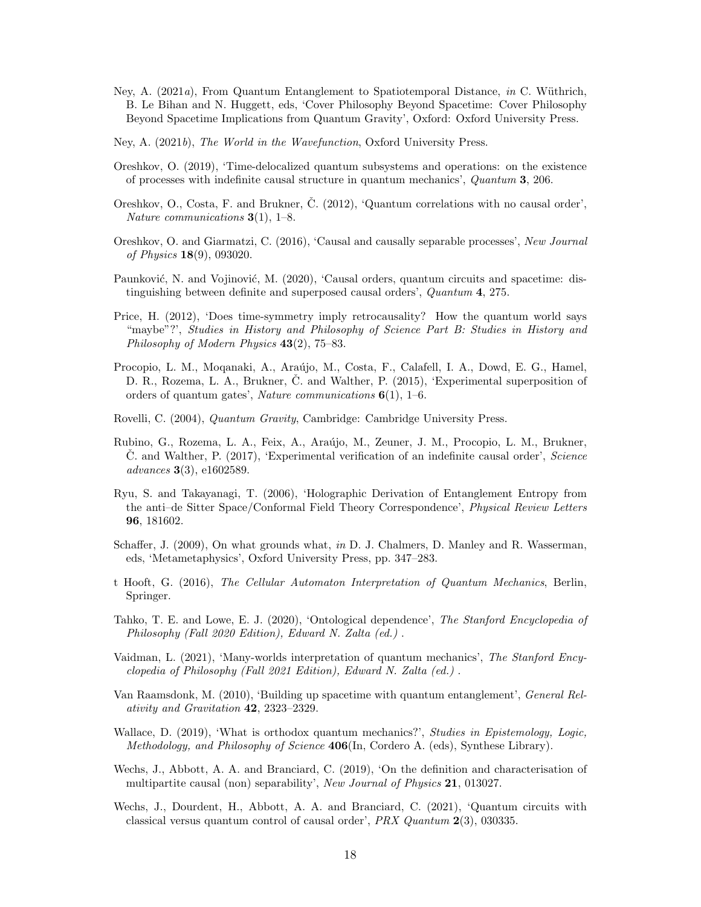- <span id="page-17-17"></span>Ney, A.  $(2021a)$ , From Quantum Entanglement to Spatiotemporal Distance, in C. Wüthrich, B. Le Bihan and N. Huggett, eds, 'Cover Philosophy Beyond Spacetime: Cover Philosophy Beyond Spacetime Implications from Quantum Gravity', Oxford: Oxford University Press.
- <span id="page-17-6"></span>Ney, A. (2021b), The World in the Wavefunction, Oxford University Press.
- <span id="page-17-14"></span>Oreshkov, O. (2019), 'Time-delocalized quantum subsystems and operations: on the existence of processes with indefinite causal structure in quantum mechanics', Quantum 3, 206.
- <span id="page-17-9"></span>Oreshkov, O., Costa, F. and Brukner, Č.  $(2012)$ , 'Quantum correlations with no causal order', Nature communications 3(1), 1–8.
- <span id="page-17-7"></span>Oreshkov, O. and Giarmatzi, C. (2016), 'Causal and causally separable processes', New Journal of Physics 18(9), 093020.
- <span id="page-17-13"></span>Paunković, N. and Vojinović, M. (2020), 'Causal orders, quantum circuits and spacetime: distinguishing between definite and superposed causal orders', Quantum 4, 275.
- <span id="page-17-1"></span>Price, H. (2012), 'Does time-symmetry imply retrocausality? How the quantum world says "maybe"?', Studies in History and Philosophy of Science Part B: Studies in History and Philosophy of Modern Physics  $43(2)$ , 75–83.
- <span id="page-17-11"></span>Procopio, L. M., Moqanaki, A., Araújo, M., Costa, F., Calafell, I. A., Dowd, E. G., Hamel, D. R., Rozema, L. A., Brukner, C. and Walther, P.  $(2015)$ , 'Experimental superposition of orders of quantum gates', Nature communications  $6(1)$ , 1–6.
- <span id="page-17-18"></span>Rovelli, C. (2004), Quantum Gravity, Cambridge: Cambridge University Press.
- <span id="page-17-12"></span>Rubino, G., Rozema, L. A., Feix, A., Ara´ujo, M., Zeuner, J. M., Procopio, L. M., Brukner, C. and Walther, P.  $(2017)$ , 'Experimental verification of an indefinite causal order', *Science* advances 3(3), e1602589.
- <span id="page-17-15"></span>Ryu, S. and Takayanagi, T. (2006), 'Holographic Derivation of Entanglement Entropy from the anti–de Sitter Space/Conformal Field Theory Correspondence', Physical Review Letters 96, 181602.
- <span id="page-17-4"></span>Schaffer, J. (2009), On what grounds what, in D. J. Chalmers, D. Manley and R. Wasserman, eds, 'Metametaphysics', Oxford University Press, pp. 347–283.
- <span id="page-17-2"></span>t Hooft, G. (2016), The Cellular Automaton Interpretation of Quantum Mechanics, Berlin, Springer.
- <span id="page-17-5"></span>Tahko, T. E. and Lowe, E. J. (2020), 'Ontological dependence', The Stanford Encyclopedia of Philosophy (Fall 2020 Edition), Edward N. Zalta (ed.) .
- <span id="page-17-3"></span>Vaidman, L. (2021), 'Many-worlds interpretation of quantum mechanics', The Stanford Encyclopedia of Philosophy (Fall 2021 Edition), Edward N. Zalta (ed.) .
- <span id="page-17-16"></span>Van Raamsdonk, M. (2010), 'Building up spacetime with quantum entanglement', General Relativity and Gravitation 42, 2323–2329.
- <span id="page-17-0"></span>Wallace, D. (2019), 'What is orthodox quantum mechanics?', *Studies in Epistemology, Logic*, Methodology, and Philosophy of Science 406(In, Cordero A. (eds), Synthese Library).
- <span id="page-17-8"></span>Wechs, J., Abbott, A. A. and Branciard, C. (2019), 'On the definition and characterisation of multipartite causal (non) separability', New Journal of Physics 21, 013027.
- <span id="page-17-10"></span>Wechs, J., Dourdent, H., Abbott, A. A. and Branciard, C. (2021), 'Quantum circuits with classical versus quantum control of causal order',  $PRX$  Quantum  $2(3)$ , 030335.